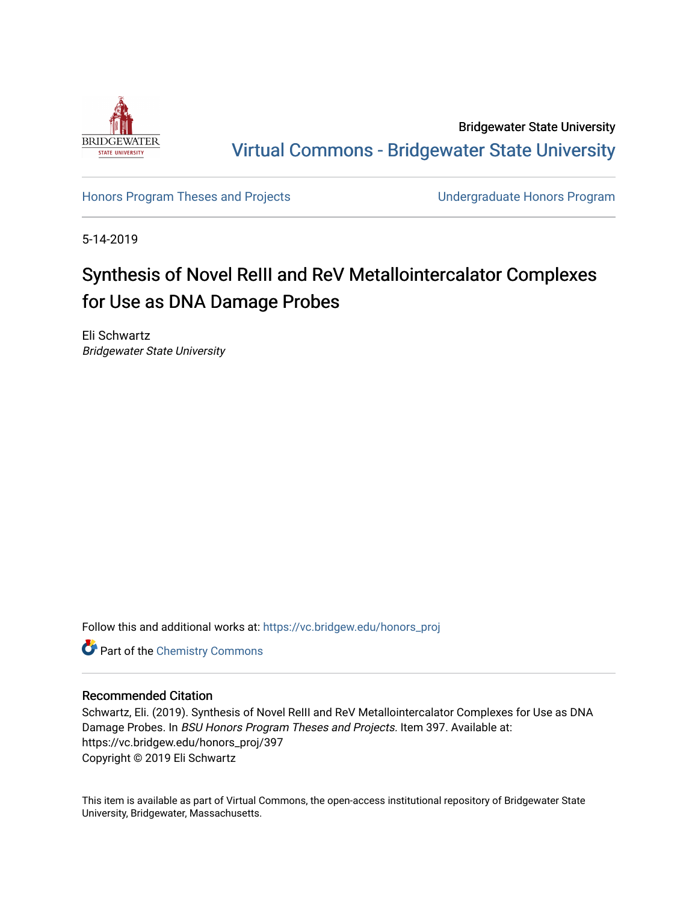

Bridgewater State University [Virtual Commons - Bridgewater State University](https://vc.bridgew.edu/) 

[Honors Program Theses and Projects](https://vc.bridgew.edu/honors_proj) [Undergraduate Honors Program](https://vc.bridgew.edu/honors) 

5-14-2019

# Synthesis of Novel ReIII and ReV Metallointercalator Complexes for Use as DNA Damage Probes

Eli Schwartz Bridgewater State University

Follow this and additional works at: [https://vc.bridgew.edu/honors\\_proj](https://vc.bridgew.edu/honors_proj?utm_source=vc.bridgew.edu%2Fhonors_proj%2F397&utm_medium=PDF&utm_campaign=PDFCoverPages)

**Part of the Chemistry Commons** 

## Recommended Citation

Schwartz, Eli. (2019). Synthesis of Novel ReIII and ReV Metallointercalator Complexes for Use as DNA Damage Probes. In BSU Honors Program Theses and Projects. Item 397. Available at: https://vc.bridgew.edu/honors\_proj/397 Copyright © 2019 Eli Schwartz

This item is available as part of Virtual Commons, the open-access institutional repository of Bridgewater State University, Bridgewater, Massachusetts.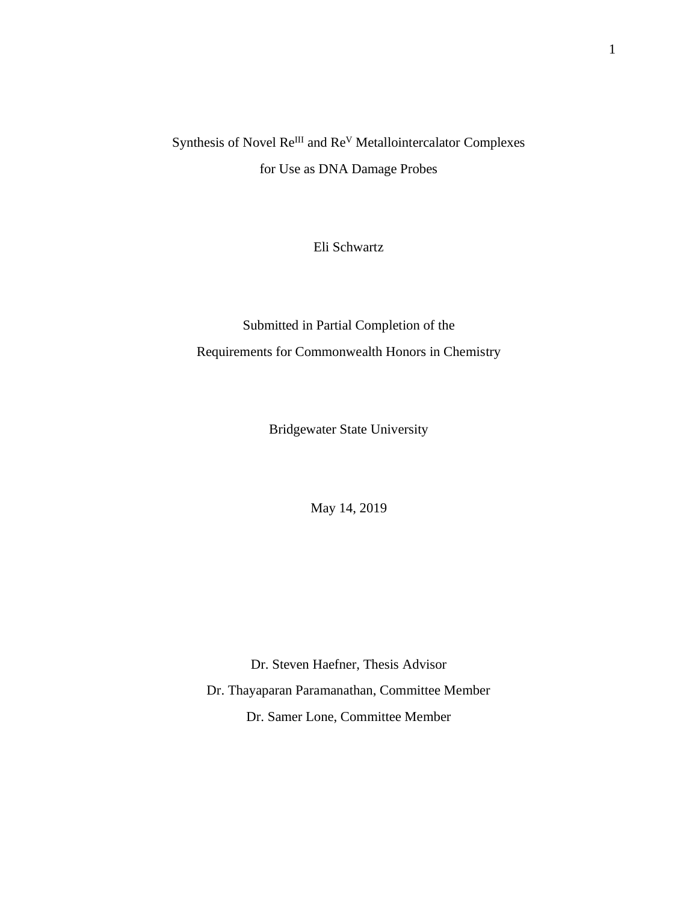## Synthesis of Novel Re<sup>III</sup> and Re<sup>V</sup> Metallointercalator Complexes for Use as DNA Damage Probes

Eli Schwartz

Submitted in Partial Completion of the Requirements for Commonwealth Honors in Chemistry

Bridgewater State University

May 14, 2019

Dr. Steven Haefner, Thesis Advisor Dr. Thayaparan Paramanathan, Committee Member Dr. Samer Lone, Committee Member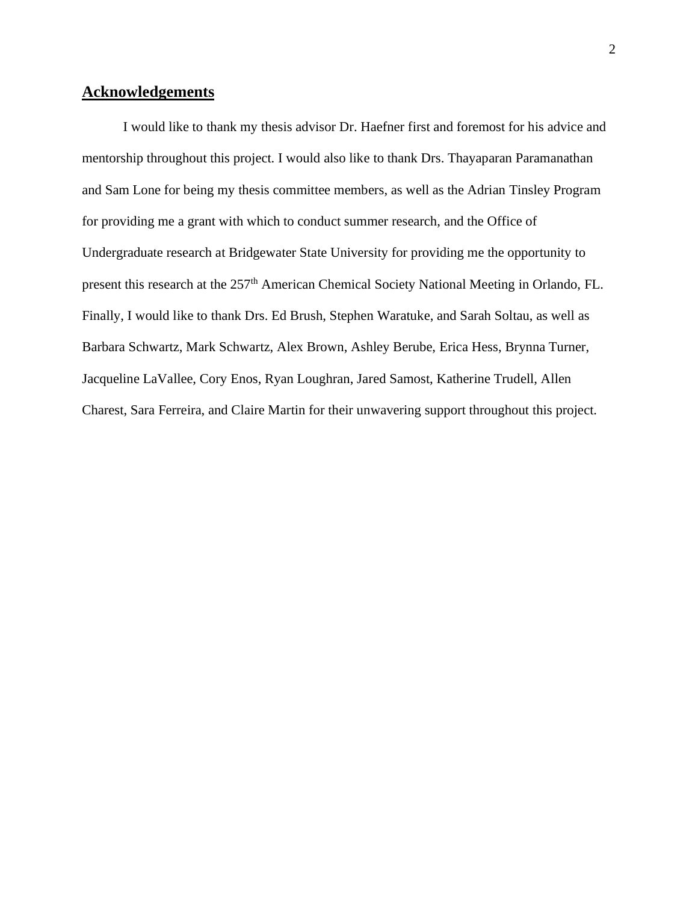## **Acknowledgements**

I would like to thank my thesis advisor Dr. Haefner first and foremost for his advice and mentorship throughout this project. I would also like to thank Drs. Thayaparan Paramanathan and Sam Lone for being my thesis committee members, as well as the Adrian Tinsley Program for providing me a grant with which to conduct summer research, and the Office of Undergraduate research at Bridgewater State University for providing me the opportunity to present this research at the 257<sup>th</sup> American Chemical Society National Meeting in Orlando, FL. Finally, I would like to thank Drs. Ed Brush, Stephen Waratuke, and Sarah Soltau, as well as Barbara Schwartz, Mark Schwartz, Alex Brown, Ashley Berube, Erica Hess, Brynna Turner, Jacqueline LaVallee, Cory Enos, Ryan Loughran, Jared Samost, Katherine Trudell, Allen Charest, Sara Ferreira, and Claire Martin for their unwavering support throughout this project.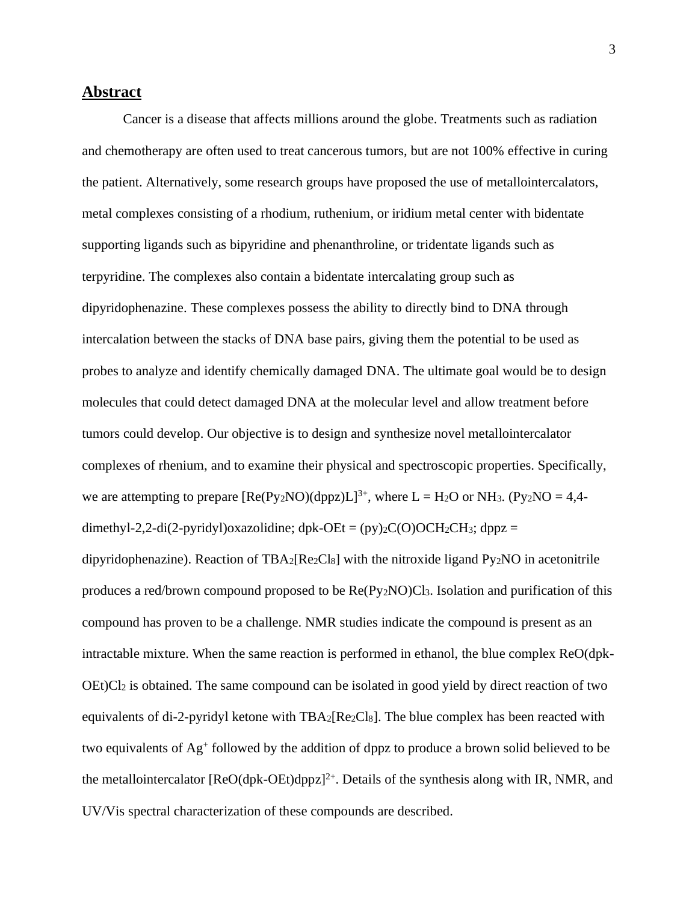## **Abstract**

Cancer is a disease that affects millions around the globe. Treatments such as radiation and chemotherapy are often used to treat cancerous tumors, but are not 100% effective in curing the patient. Alternatively, some research groups have proposed the use of metallointercalators, metal complexes consisting of a rhodium, ruthenium, or iridium metal center with bidentate supporting ligands such as bipyridine and phenanthroline, or tridentate ligands such as terpyridine. The complexes also contain a bidentate intercalating group such as dipyridophenazine. These complexes possess the ability to directly bind to DNA through intercalation between the stacks of DNA base pairs, giving them the potential to be used as probes to analyze and identify chemically damaged DNA. The ultimate goal would be to design molecules that could detect damaged DNA at the molecular level and allow treatment before tumors could develop. Our objective is to design and synthesize novel metallointercalator complexes of rhenium, and to examine their physical and spectroscopic properties. Specifically, we are attempting to prepare  $[Re(P_{V2}NO)(dppz)L]^{3+}$ , where  $L = H_2O$  or NH<sub>3</sub>. (Py<sub>2</sub>NO = 4,4dimethyl-2,2-di(2-pyridyl)oxazolidine; dpk-OEt =  $(py)$ <sub>2</sub>C(O)OCH<sub>2</sub>CH<sub>3</sub>; dppz = dipyridophenazine). Reaction of  $TBA_2[Re_2Cl_8]$  with the nitroxide ligand Py<sub>2</sub>NO in acetonitrile produces a red/brown compound proposed to be Re(Py2NO)Cl3. Isolation and purification of this compound has proven to be a challenge. NMR studies indicate the compound is present as an intractable mixture. When the same reaction is performed in ethanol, the blue complex ReO(dpk-OEt)Cl<sup>2</sup> is obtained. The same compound can be isolated in good yield by direct reaction of two equivalents of di-2-pyridyl ketone with TBA2[Re2Cl8]. The blue complex has been reacted with two equivalents of Ag<sup>+</sup> followed by the addition of dppz to produce a brown solid believed to be the metallointercalator  $[ReO(dpk-OEt)dppz]^2$ <sup>+</sup>. Details of the synthesis along with IR, NMR, and UV/Vis spectral characterization of these compounds are described.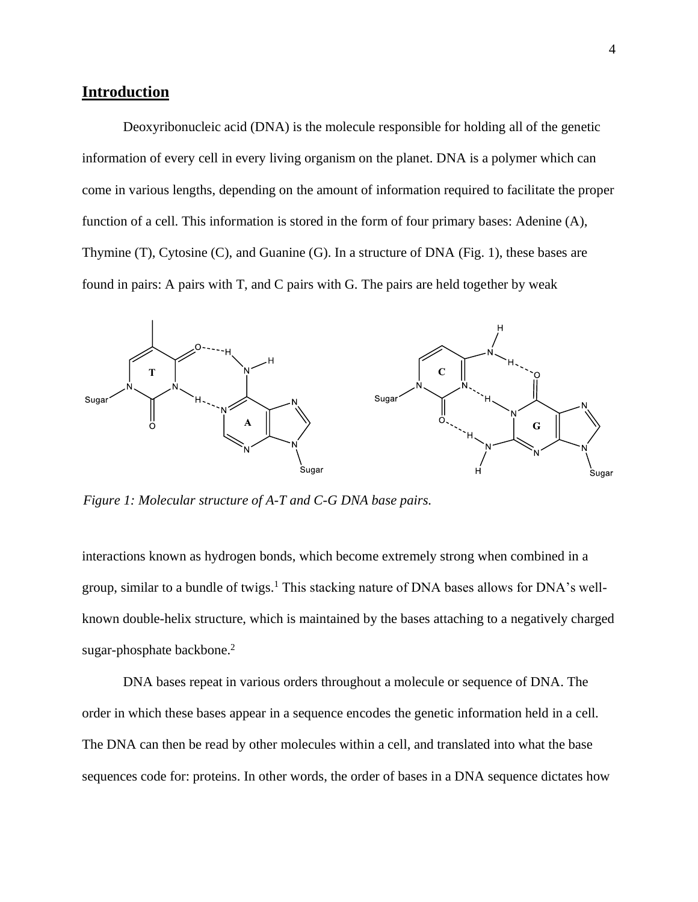## **Introduction**

Deoxyribonucleic acid (DNA) is the molecule responsible for holding all of the genetic information of every cell in every living organism on the planet. DNA is a polymer which can come in various lengths, depending on the amount of information required to facilitate the proper function of a cell. This information is stored in the form of four primary bases: Adenine (A), Thymine (T), Cytosine (C), and Guanine (G). In a structure of DNA (Fig. 1), these bases are found in pairs: A pairs with T, and C pairs with G. The pairs are held together by weak



*Figure 1: Molecular structure of A-T and C-G DNA base pairs.*

interactions known as hydrogen bonds, which become extremely strong when combined in a group, similar to a bundle of twigs.<sup>1</sup> This stacking nature of DNA bases allows for DNA's wellknown double-helix structure, which is maintained by the bases attaching to a negatively charged sugar-phosphate backbone. 2

DNA bases repeat in various orders throughout a molecule or sequence of DNA. The order in which these bases appear in a sequence encodes the genetic information held in a cell. The DNA can then be read by other molecules within a cell, and translated into what the base sequences code for: proteins. In other words, the order of bases in a DNA sequence dictates how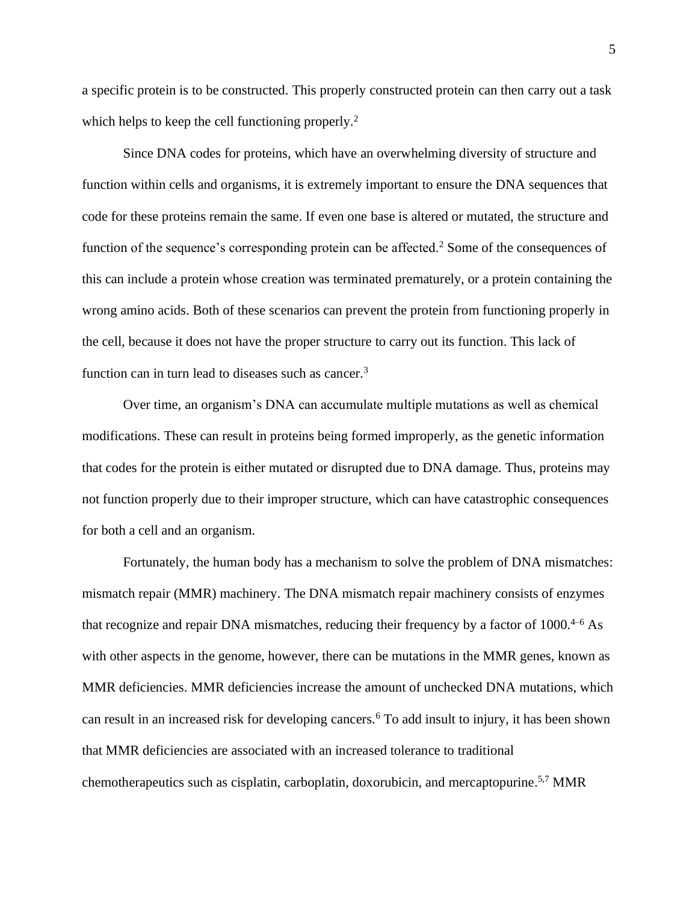a specific protein is to be constructed. This properly constructed protein can then carry out a task which helps to keep the cell functioning properly.<sup>2</sup>

Since DNA codes for proteins, which have an overwhelming diversity of structure and function within cells and organisms, it is extremely important to ensure the DNA sequences that code for these proteins remain the same. If even one base is altered or mutated, the structure and function of the sequence's corresponding protein can be affected.<sup>2</sup> Some of the consequences of this can include a protein whose creation was terminated prematurely, or a protein containing the wrong amino acids. Both of these scenarios can prevent the protein from functioning properly in the cell, because it does not have the proper structure to carry out its function. This lack of function can in turn lead to diseases such as cancer.<sup>3</sup>

Over time, an organism's DNA can accumulate multiple mutations as well as chemical modifications. These can result in proteins being formed improperly, as the genetic information that codes for the protein is either mutated or disrupted due to DNA damage. Thus, proteins may not function properly due to their improper structure, which can have catastrophic consequences for both a cell and an organism.

Fortunately, the human body has a mechanism to solve the problem of DNA mismatches: mismatch repair (MMR) machinery. The DNA mismatch repair machinery consists of enzymes that recognize and repair DNA mismatches, reducing their frequency by a factor of 1000.<sup>4-6</sup> As with other aspects in the genome, however, there can be mutations in the MMR genes, known as MMR deficiencies. MMR deficiencies increase the amount of unchecked DNA mutations, which can result in an increased risk for developing cancers.<sup>6</sup> To add insult to injury, it has been shown that MMR deficiencies are associated with an increased tolerance to traditional chemotherapeutics such as cisplatin, carboplatin, doxorubicin, and mercaptopurine. 5,7 MMR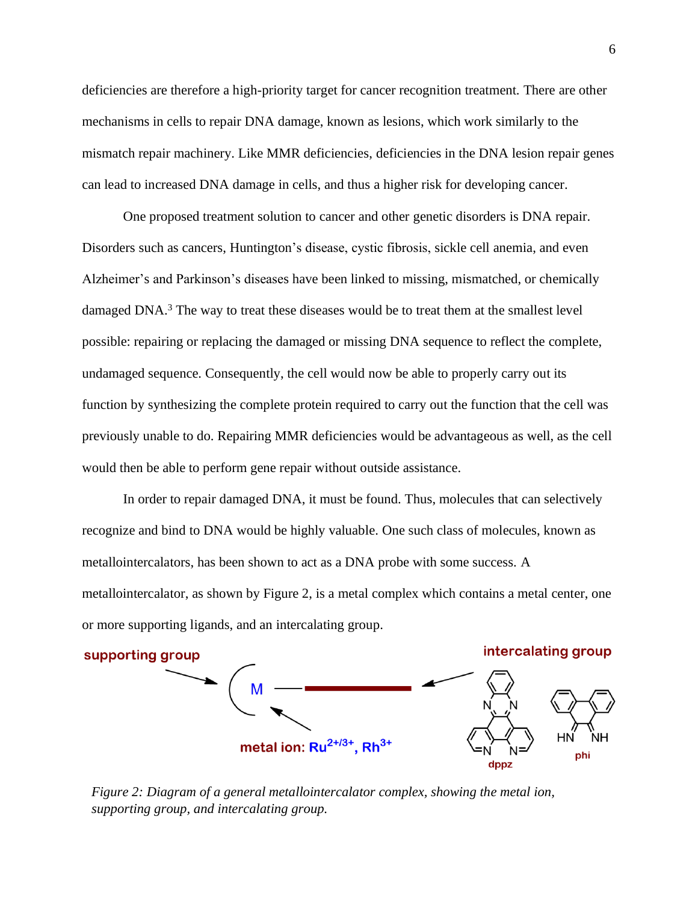deficiencies are therefore a high-priority target for cancer recognition treatment. There are other mechanisms in cells to repair DNA damage, known as lesions, which work similarly to the mismatch repair machinery. Like MMR deficiencies, deficiencies in the DNA lesion repair genes can lead to increased DNA damage in cells, and thus a higher risk for developing cancer.

One proposed treatment solution to cancer and other genetic disorders is DNA repair. Disorders such as cancers, Huntington's disease, cystic fibrosis, sickle cell anemia, and even Alzheimer's and Parkinson's diseases have been linked to missing, mismatched, or chemically damaged DNA.<sup>3</sup> The way to treat these diseases would be to treat them at the smallest level possible: repairing or replacing the damaged or missing DNA sequence to reflect the complete, undamaged sequence. Consequently, the cell would now be able to properly carry out its function by synthesizing the complete protein required to carry out the function that the cell was previously unable to do. Repairing MMR deficiencies would be advantageous as well, as the cell would then be able to perform gene repair without outside assistance.

In order to repair damaged DNA, it must be found. Thus, molecules that can selectively recognize and bind to DNA would be highly valuable. One such class of molecules, known as metallointercalators, has been shown to act as a DNA probe with some success. A metallointercalator, as shown by Figure 2, is a metal complex which contains a metal center, one or more supporting ligands, and an intercalating group.



*Figure 2: Diagram of a general metallointercalator complex, showing the metal ion, supporting group, and intercalating group.*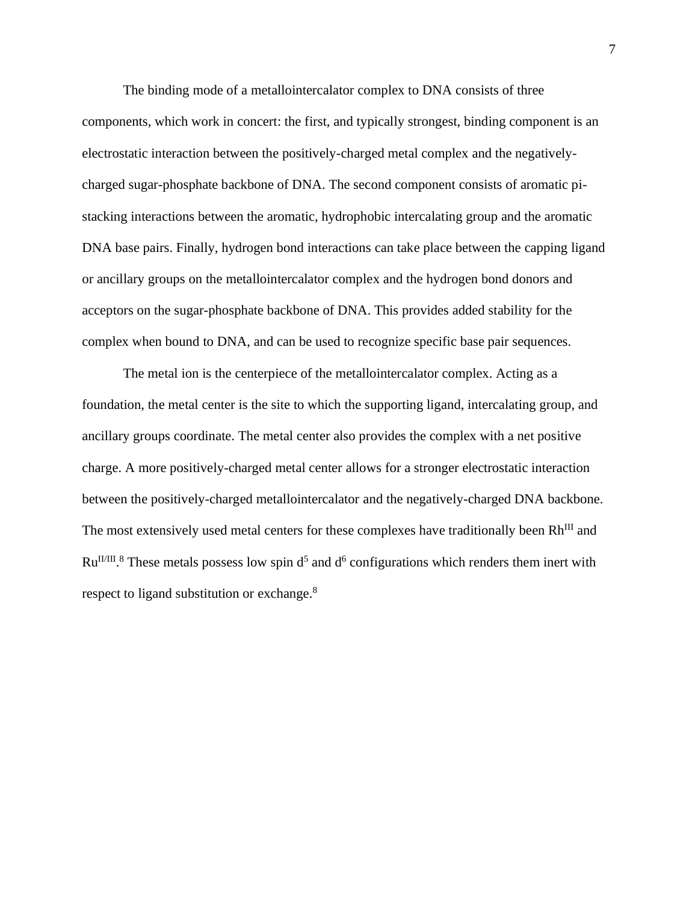The binding mode of a metallointercalator complex to DNA consists of three components, which work in concert: the first, and typically strongest, binding component is an electrostatic interaction between the positively-charged metal complex and the negativelycharged sugar-phosphate backbone of DNA. The second component consists of aromatic pistacking interactions between the aromatic, hydrophobic intercalating group and the aromatic DNA base pairs. Finally, hydrogen bond interactions can take place between the capping ligand or ancillary groups on the metallointercalator complex and the hydrogen bond donors and acceptors on the sugar-phosphate backbone of DNA. This provides added stability for the complex when bound to DNA, and can be used to recognize specific base pair sequences.

The metal ion is the centerpiece of the metallointercalator complex. Acting as a foundation, the metal center is the site to which the supporting ligand, intercalating group, and ancillary groups coordinate. The metal center also provides the complex with a net positive charge. A more positively-charged metal center allows for a stronger electrostatic interaction between the positively-charged metallointercalator and the negatively-charged DNA backbone. The most extensively used metal centers for these complexes have traditionally been Rh<sup>III</sup> and  $Ru<sup>II/III</sup>$ .<sup>8</sup> These metals possess low spin  $d<sup>5</sup>$  and  $d<sup>6</sup>$  configurations which renders them inert with respect to ligand substitution or exchange.<sup>8</sup>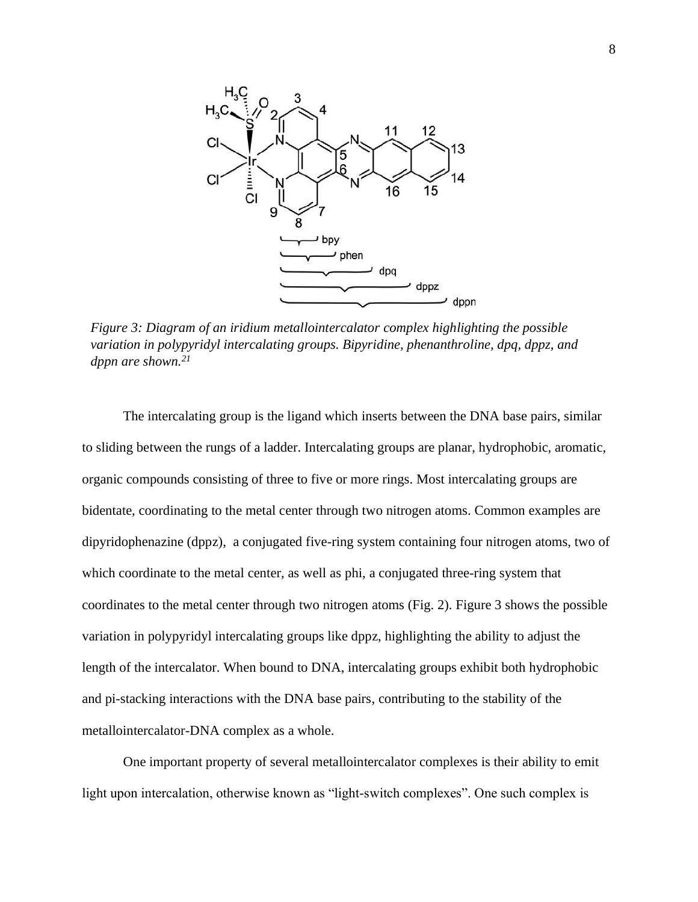

*Figure 3: Diagram of an iridium metallointercalator complex highlighting the possible variation in polypyridyl intercalating groups. Bipyridine, phenanthroline, dpq, dppz, and dppn are shown.21*

The intercalating group is the ligand which inserts between the DNA base pairs, similar to sliding between the rungs of a ladder. Intercalating groups are planar, hydrophobic, aromatic, organic compounds consisting of three to five or more rings. Most intercalating groups are bidentate, coordinating to the metal center through two nitrogen atoms. Common examples are dipyridophenazine (dppz), a conjugated five-ring system containing four nitrogen atoms, two of which coordinate to the metal center, as well as phi, a conjugated three-ring system that coordinates to the metal center through two nitrogen atoms (Fig. 2). Figure 3 shows the possible variation in polypyridyl intercalating groups like dppz, highlighting the ability to adjust the length of the intercalator. When bound to DNA, intercalating groups exhibit both hydrophobic and pi-stacking interactions with the DNA base pairs, contributing to the stability of the metallointercalator-DNA complex as a whole.

One important property of several metallointercalator complexes is their ability to emit light upon intercalation, otherwise known as "light-switch complexes". One such complex is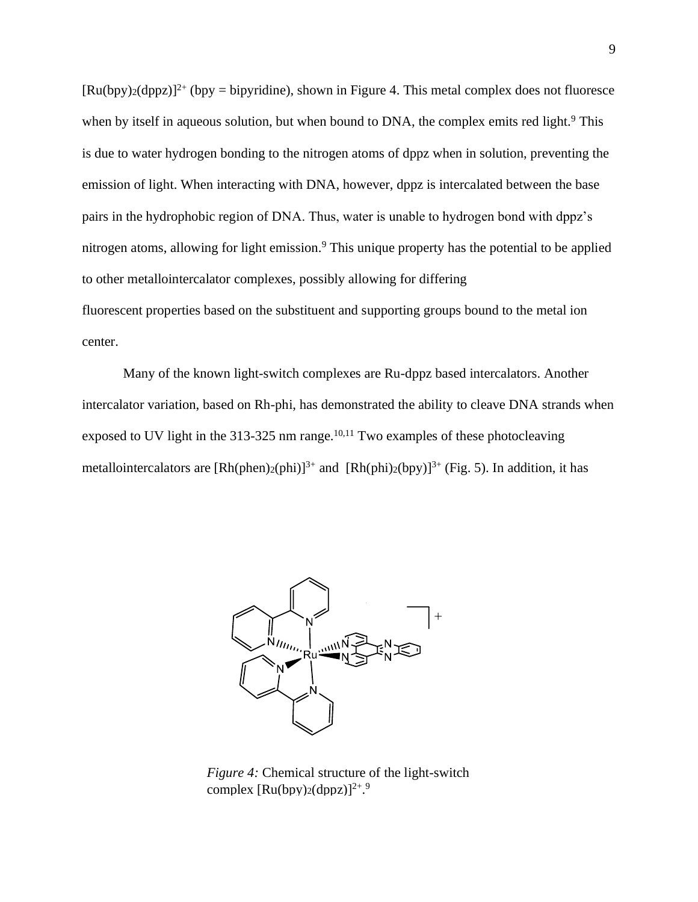$[Ru(bpy)z(dppz)]^{2+}$  (bpy = bipyridine), shown in Figure 4. This metal complex does not fluoresce when by itself in aqueous solution, but when bound to DNA, the complex emits red light.<sup>9</sup> This is due to water hydrogen bonding to the nitrogen atoms of dppz when in solution, preventing the emission of light. When interacting with DNA, however, dppz is intercalated between the base pairs in the hydrophobic region of DNA. Thus, water is unable to hydrogen bond with dppz's nitrogen atoms, allowing for light emission.<sup>9</sup> This unique property has the potential to be applied to other metallointercalator complexes, possibly allowing for differing fluorescent properties based on the substituent and supporting groups bound to the metal ion center.

Many of the known light-switch complexes are Ru-dppz based intercalators. Another intercalator variation, based on Rh-phi, has demonstrated the ability to cleave DNA strands when exposed to UV light in the  $313-325$  nm range.<sup>10,11</sup> Two examples of these photocleaving metallointercalators are  $[Rh(phen)_2(phi)]^{3+}$  and  $[Rh(phi)_2(bpy)]^{3+}$  (Fig. 5). In addition, it has



*Figure 4:* Chemical structure of the light-switch complex  $\text{[Ru(bpy)}_2 \text{(dppz)}^2$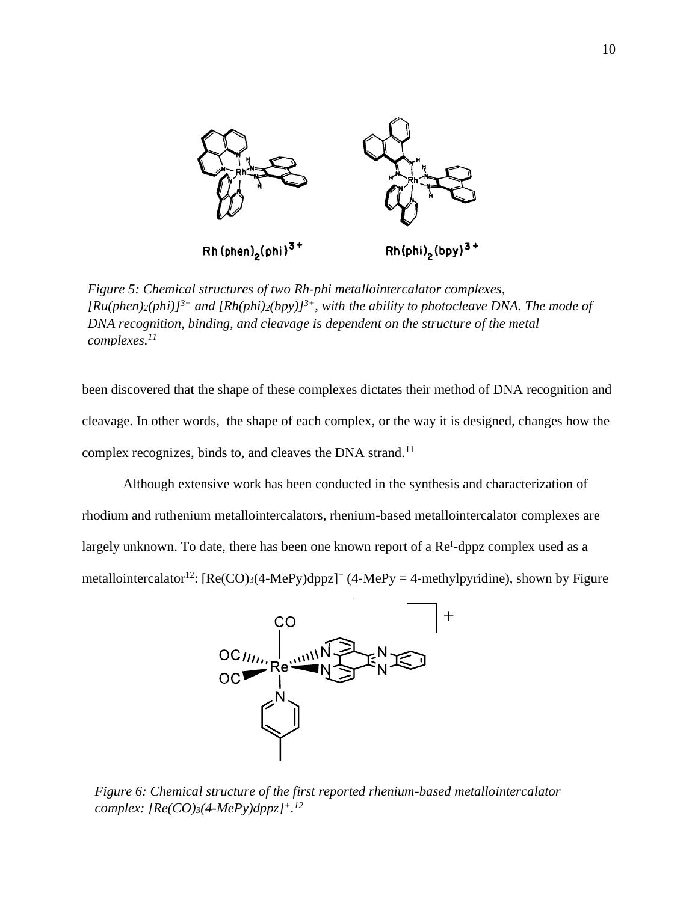

*Figure 5: Chemical structures of two Rh-phi metallointercalator complexes,*   $[Ru(phen)2(phi)]^{3+}$  *and*  $[Rh(phi)2(bpy)]^{3+}$ *, with the ability to photocleave DNA. The mode of DNA recognition, binding, and cleavage is dependent on the structure of the metal complexes.11*

been discovered that the shape of these complexes dictates their method of DNA recognition and cleavage. In other words, the shape of each complex, or the way it is designed, changes how the complex recognizes, binds to, and cleaves the DNA strand.<sup>11</sup>

Although extensive work has been conducted in the synthesis and characterization of rhodium and ruthenium metallointercalators, rhenium-based metallointercalator complexes are largely unknown. To date, there has been one known report of a Re<sup>I</sup>-dppz complex used as a metallointercalator<sup>12</sup>:  $[Re(CO)_3(4-MePy)dppz]^+$  (4-MePy = 4-methylpyridine), shown by Figure



*Figure 6: Chemical structure of the first reported rhenium-based metallointercalator complex: [Re(CO)3(4-MePy)dppz]<sup>+</sup>. 12*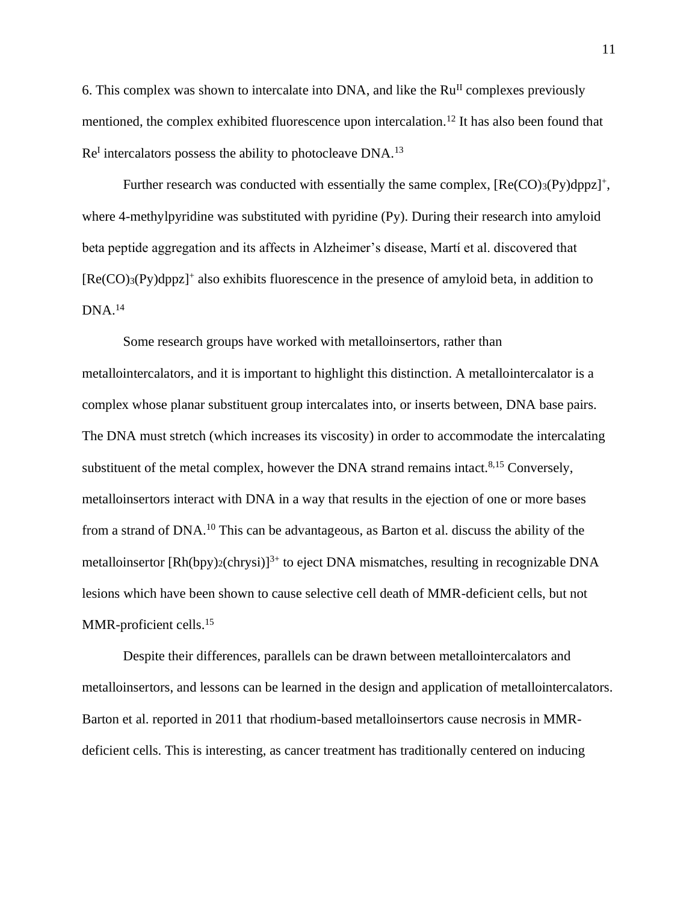6. This complex was shown to intercalate into DNA, and like the  $Ru<sup>H</sup>$  complexes previously mentioned, the complex exhibited fluorescence upon intercalation.<sup>12</sup> It has also been found that Re<sup>I</sup> intercalators possess the ability to photocleave DNA.<sup>13</sup>

Further research was conducted with essentially the same complex,  $[Re(CO)<sub>3</sub>(Py)dppz]<sup>+</sup>$ , where 4-methylpyridine was substituted with pyridine (Py). During their research into amyloid beta peptide aggregation and its affects in Alzheimer's disease, Martí et al. discovered that [Re(CO)3(Py)dppz]<sup>+</sup> also exhibits fluorescence in the presence of amyloid beta, in addition to DNA.<sup>14</sup>

Some research groups have worked with metalloinsertors, rather than metallointercalators, and it is important to highlight this distinction. A metallointercalator is a complex whose planar substituent group intercalates into, or inserts between, DNA base pairs. The DNA must stretch (which increases its viscosity) in order to accommodate the intercalating substituent of the metal complex, however the DNA strand remains intact. $8,15$  Conversely, metalloinsertors interact with DNA in a way that results in the ejection of one or more bases from a strand of DNA.<sup>10</sup> This can be advantageous, as Barton et al. discuss the ability of the metalloinsertor  $[Rh(bpy)_{2}(chrysi)]^{3+}$  to eject DNA mismatches, resulting in recognizable DNA lesions which have been shown to cause selective cell death of MMR-deficient cells, but not MMR-proficient cells.<sup>15</sup>

Despite their differences, parallels can be drawn between metallointercalators and metalloinsertors, and lessons can be learned in the design and application of metallointercalators. Barton et al. reported in 2011 that rhodium-based metalloinsertors cause necrosis in MMRdeficient cells. This is interesting, as cancer treatment has traditionally centered on inducing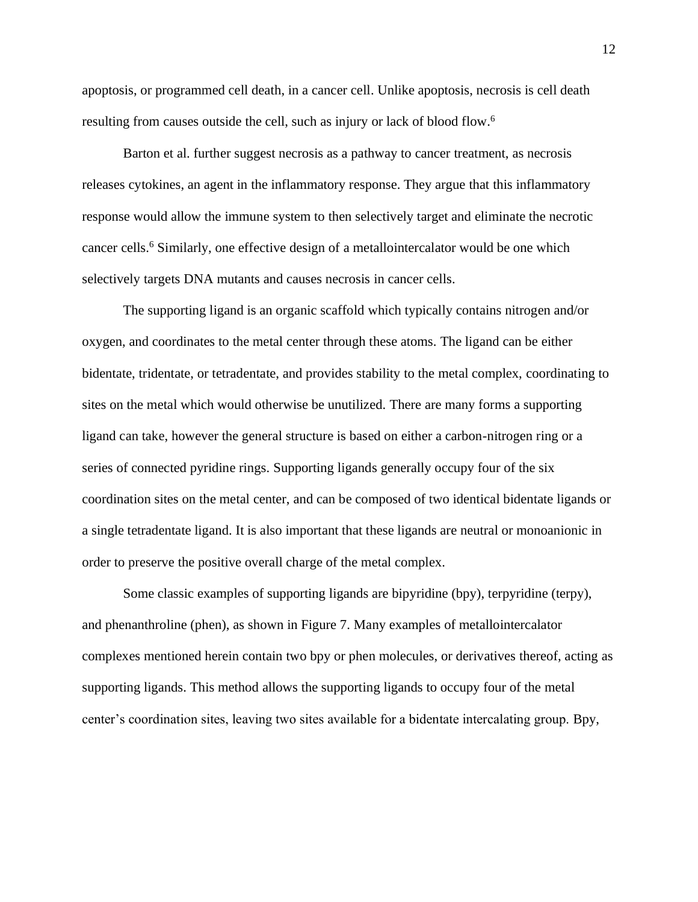apoptosis, or programmed cell death, in a cancer cell. Unlike apoptosis, necrosis is cell death resulting from causes outside the cell, such as injury or lack of blood flow.<sup>6</sup>

Barton et al. further suggest necrosis as a pathway to cancer treatment, as necrosis releases cytokines, an agent in the inflammatory response. They argue that this inflammatory response would allow the immune system to then selectively target and eliminate the necrotic cancer cells.<sup>6</sup> Similarly, one effective design of a metallointercalator would be one which selectively targets DNA mutants and causes necrosis in cancer cells.

The supporting ligand is an organic scaffold which typically contains nitrogen and/or oxygen, and coordinates to the metal center through these atoms. The ligand can be either bidentate, tridentate, or tetradentate, and provides stability to the metal complex, coordinating to sites on the metal which would otherwise be unutilized. There are many forms a supporting ligand can take, however the general structure is based on either a carbon-nitrogen ring or a series of connected pyridine rings. Supporting ligands generally occupy four of the six coordination sites on the metal center, and can be composed of two identical bidentate ligands or a single tetradentate ligand. It is also important that these ligands are neutral or monoanionic in order to preserve the positive overall charge of the metal complex.

Some classic examples of supporting ligands are bipyridine (bpy), terpyridine (terpy), and phenanthroline (phen), as shown in Figure 7. Many examples of metallointercalator complexes mentioned herein contain two bpy or phen molecules, or derivatives thereof, acting as supporting ligands. This method allows the supporting ligands to occupy four of the metal center's coordination sites, leaving two sites available for a bidentate intercalating group. Bpy,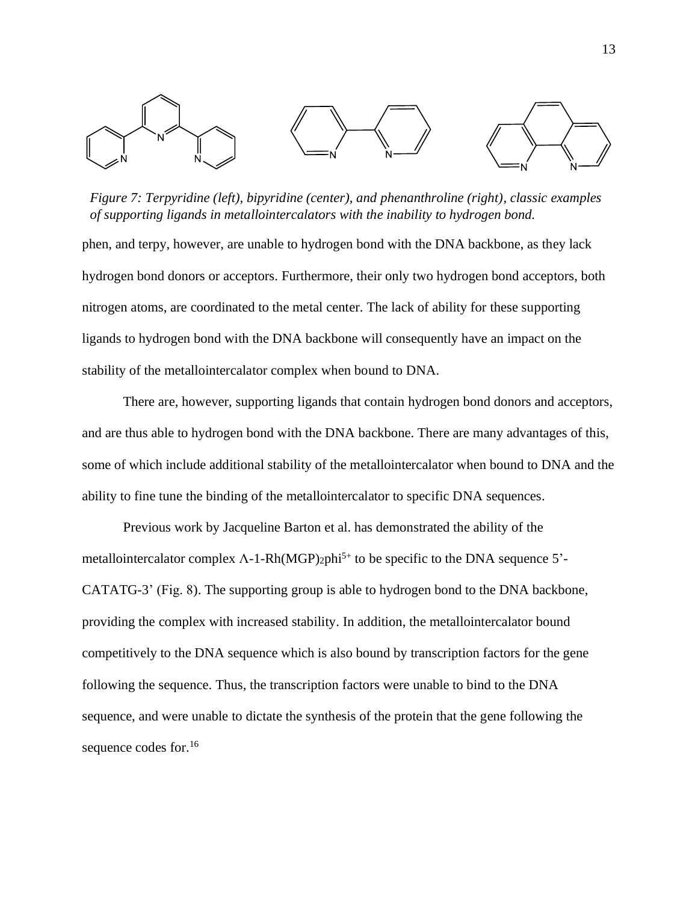

*Figure 7: Terpyridine (left), bipyridine (center), and phenanthroline (right), classic examples of supporting ligands in metallointercalators with the inability to hydrogen bond.*

phen, and terpy, however, are unable to hydrogen bond with the DNA backbone, as they lack hydrogen bond donors or acceptors. Furthermore, their only two hydrogen bond acceptors, both nitrogen atoms, are coordinated to the metal center. The lack of ability for these supporting ligands to hydrogen bond with the DNA backbone will consequently have an impact on the stability of the metallointercalator complex when bound to DNA.

There are, however, supporting ligands that contain hydrogen bond donors and acceptors, and are thus able to hydrogen bond with the DNA backbone. There are many advantages of this, some of which include additional stability of the metallointercalator when bound to DNA and the ability to fine tune the binding of the metallointercalator to specific DNA sequences.

Previous work by Jacqueline Barton et al. has demonstrated the ability of the metallointercalator complex  $\Lambda$ -1-Rh(MGP)<sub>2</sub>phi<sup>5+</sup> to be specific to the DNA sequence 5'-CATATG-3' (Fig. 8). The supporting group is able to hydrogen bond to the DNA backbone, providing the complex with increased stability. In addition, the metallointercalator bound competitively to the DNA sequence which is also bound by transcription factors for the gene following the sequence. Thus, the transcription factors were unable to bind to the DNA sequence, and were unable to dictate the synthesis of the protein that the gene following the sequence codes for.<sup>16</sup>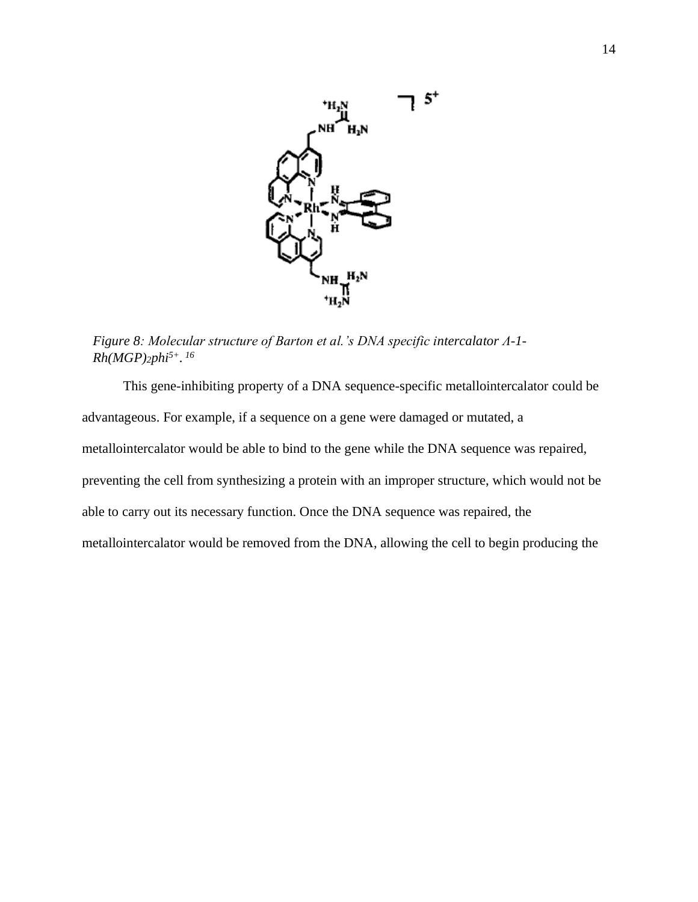

*Figure 8: Molecular structure of Barton et al.'s DNA specific intercalator Λ-1- Rh(MGP)2phi5+. 16*

This gene-inhibiting property of a DNA sequence-specific metallointercalator could be advantageous. For example, if a sequence on a gene were damaged or mutated, a metallointercalator would be able to bind to the gene while the DNA sequence was repaired, preventing the cell from synthesizing a protein with an improper structure, which would not be able to carry out its necessary function. Once the DNA sequence was repaired, the metallointercalator would be removed from the DNA, allowing the cell to begin producing the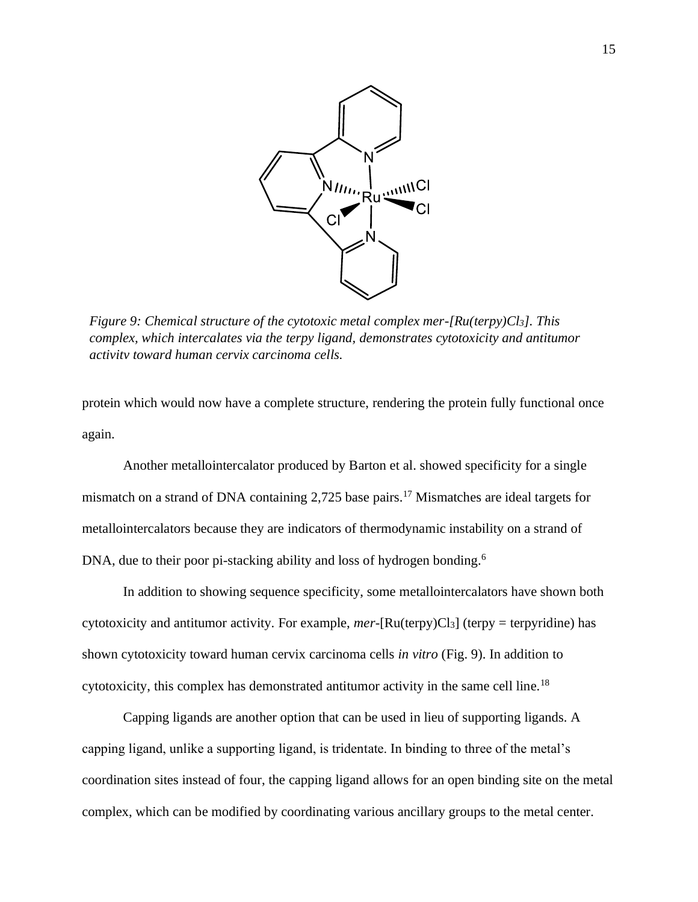

*Figure 9: Chemical structure of the cytotoxic metal complex mer-[Ru(terpy)Cl3]. This complex, which intercalates via the terpy ligand, demonstrates cytotoxicity and antitumor activity toward human cervix carcinoma cells.* 

protein which would now have a complete structure, rendering the protein fully functional once again.

Another metallointercalator produced by Barton et al. showed specificity for a single mismatch on a strand of DNA containing 2,725 base pairs.<sup>17</sup> Mismatches are ideal targets for metallointercalators because they are indicators of thermodynamic instability on a strand of DNA, due to their poor pi-stacking ability and loss of hydrogen bonding.<sup>6</sup>

In addition to showing sequence specificity, some metallointercalators have shown both cytotoxicity and antitumor activity. For example, *mer*-[Ru(terpy)Cl3] (terpy = terpyridine) has shown cytotoxicity toward human cervix carcinoma cells *in vitro* (Fig. 9). In addition to cytotoxicity, this complex has demonstrated antitumor activity in the same cell line.<sup>18</sup>

Capping ligands are another option that can be used in lieu of supporting ligands. A capping ligand, unlike a supporting ligand, is tridentate. In binding to three of the metal's coordination sites instead of four, the capping ligand allows for an open binding site on the metal complex, which can be modified by coordinating various ancillary groups to the metal center.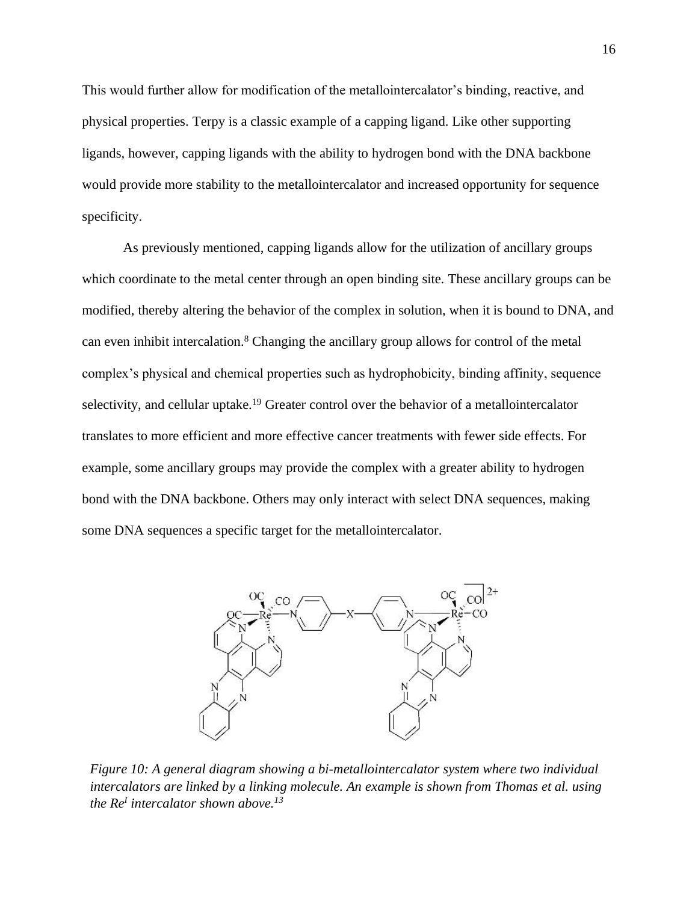This would further allow for modification of the metallointercalator's binding, reactive, and physical properties. Terpy is a classic example of a capping ligand. Like other supporting ligands, however, capping ligands with the ability to hydrogen bond with the DNA backbone would provide more stability to the metallointercalator and increased opportunity for sequence specificity.

As previously mentioned, capping ligands allow for the utilization of ancillary groups which coordinate to the metal center through an open binding site. These ancillary groups can be modified, thereby altering the behavior of the complex in solution, when it is bound to DNA, and can even inhibit intercalation. <sup>8</sup> Changing the ancillary group allows for control of the metal complex's physical and chemical properties such as hydrophobicity, binding affinity, sequence selectivity, and cellular uptake.<sup>19</sup> Greater control over the behavior of a metallointercalator translates to more efficient and more effective cancer treatments with fewer side effects. For example, some ancillary groups may provide the complex with a greater ability to hydrogen bond with the DNA backbone. Others may only interact with select DNA sequences, making some DNA sequences a specific target for the metallointercalator.



*Figure 10: A general diagram showing a bi-metallointercalator system where two individual intercalators are linked by a linking molecule. An example is shown from Thomas et al. using the Re<sup>I</sup> intercalator shown above.13*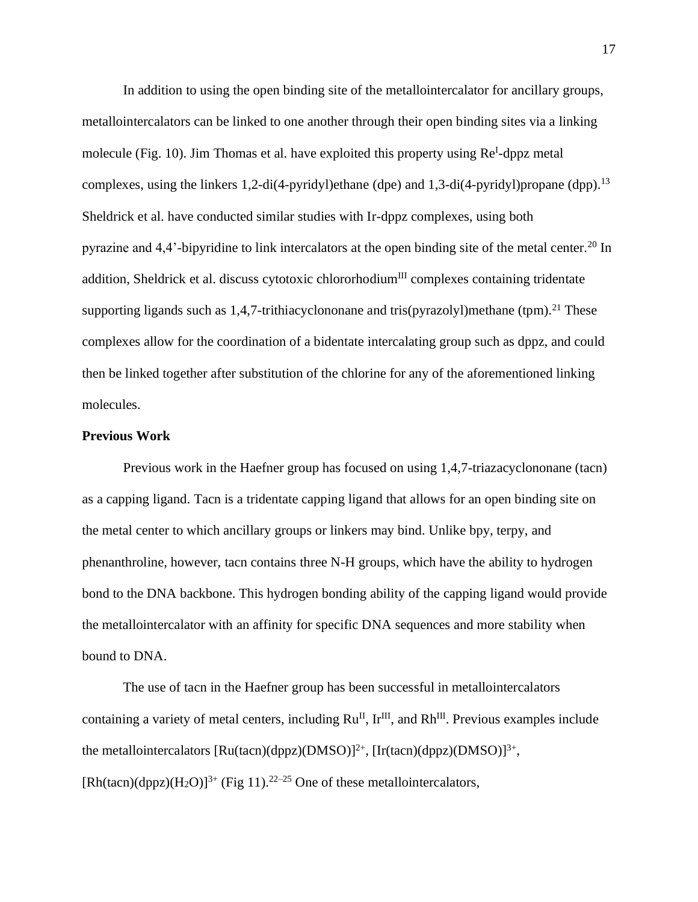In addition to using the open binding site of the metallointercalator for ancillary groups, metallointercalators can be linked to one another through their open binding sites via a linking molecule (Fig. 10). Jim Thomas et al. have exploited this property using Re<sup>I</sup>-dppz metal complexes, using the linkers 1,2-di(4-pyridyl)ethane (dpe) and 1,3-di(4-pyridyl)propane (dpp). 13 Sheldrick et al. have conducted similar studies with Ir-dppz complexes, using both pyrazine and 4,4'-bipyridine to link intercalators at the open binding site of the metal center.<sup>20</sup> In addition, Sheldrick et al. discuss cytotoxic chlororhodium<sup>III</sup> complexes containing tridentate supporting ligands such as 1,4,7-trithiacyclononane and tris(pyrazolyl)methane (tpm).<sup>21</sup> These complexes allow for the coordination of a bidentate intercalating group such as dppz, and could then be linked together after substitution of the chlorine for any of the aforementioned linking molecules.

#### **Previous Work**

Previous work in the Haefner group has focused on using 1,4,7-triazacyclononane (tacn) as a capping ligand. Tacn is a tridentate capping ligand that allows for an open binding site on the metal center to which ancillary groups or linkers may bind. Unlike bpy, terpy, and phenanthroline, however, tacn contains three N-H groups, which have the ability to hydrogen bond to the DNA backbone. This hydrogen bonding ability of the capping ligand would provide the metallointercalator with an affinity for specific DNA sequences and more stability when bound to DNA.

The use of tacn in the Haefner group has been successful in metallointercalators containing a variety of metal centers, including  $Ru^{II}$ ,  $Ir^{III}$ , and  $Rh^{III}$ . Previous examples include the metallointercalators  $[Ru(tacn)(dppz)(DMSO)]^{2+}$ ,  $[Ir(tacn)(dppz)(DMSO)]^{3+}$ ,  $[Rh(tacn)(dppz)(H_2O)]^{3+}$  (Fig 11).<sup>22-25</sup> One of these metallointercalators,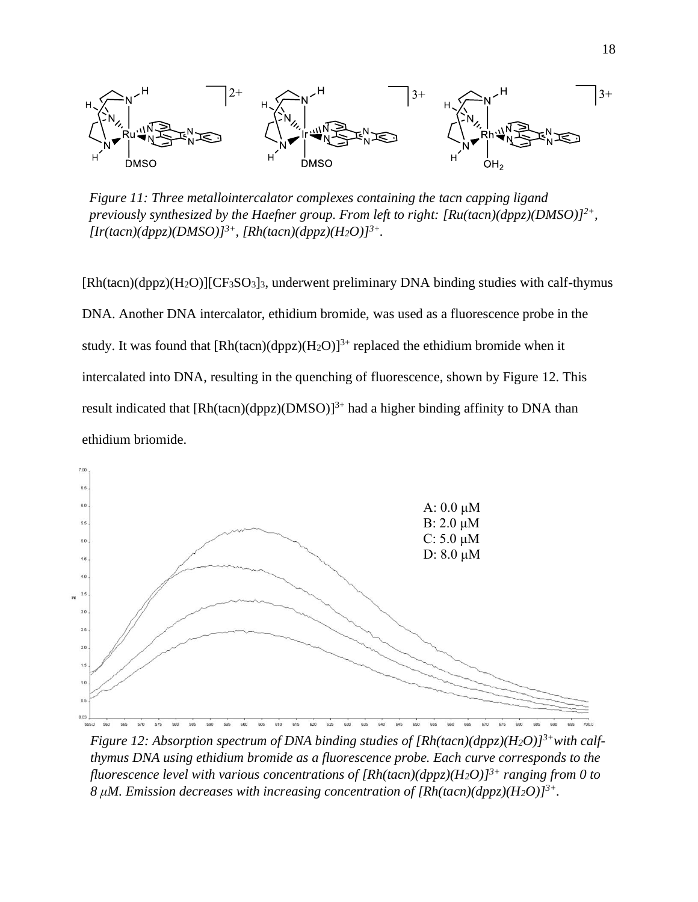

*Figure 11: Three metallointercalator complexes containing the tacn capping ligand previously synthesized by the Haefner group. From left to right: [Ru(tacn)(dppz)(DMSO)]2+,*   $[Ir(tacn)(dppz)(DMSO)]^{3+}$ ,  $[Rh(tacn)(dppz)(H_2O)]^{3+}$ .

[Rh(tacn)(dppz)(H2O)][CF3SO3]3, underwent preliminary DNA binding studies with calf-thymus DNA. Another DNA intercalator, ethidium bromide, was used as a fluorescence probe in the study. It was found that  $[Rh(tacn)(dppz)(H_2O)]^{3+}$  replaced the ethidium bromide when it intercalated into DNA, resulting in the quenching of fluorescence, shown by Figure 12. This result indicated that  $[Rh(tacn)(dppz)(DMSO)]^{3+}$  had a higher binding affinity to DNA than ethidium briomide.



*Figure 12: Absorption spectrum of DNA binding studies of [Rh(tacn)(dppz)(H2O)]3+with calfthymus DNA using ethidium bromide as a fluorescence probe. Each curve corresponds to the fluorescence level with various concentrations of [Rh(tacn)(dppz)(H2O)]3+ ranging from 0 to 8 μM. Emission decreases with increasing concentration of [Rh(tacn)(dppz)(H2O)]3+.*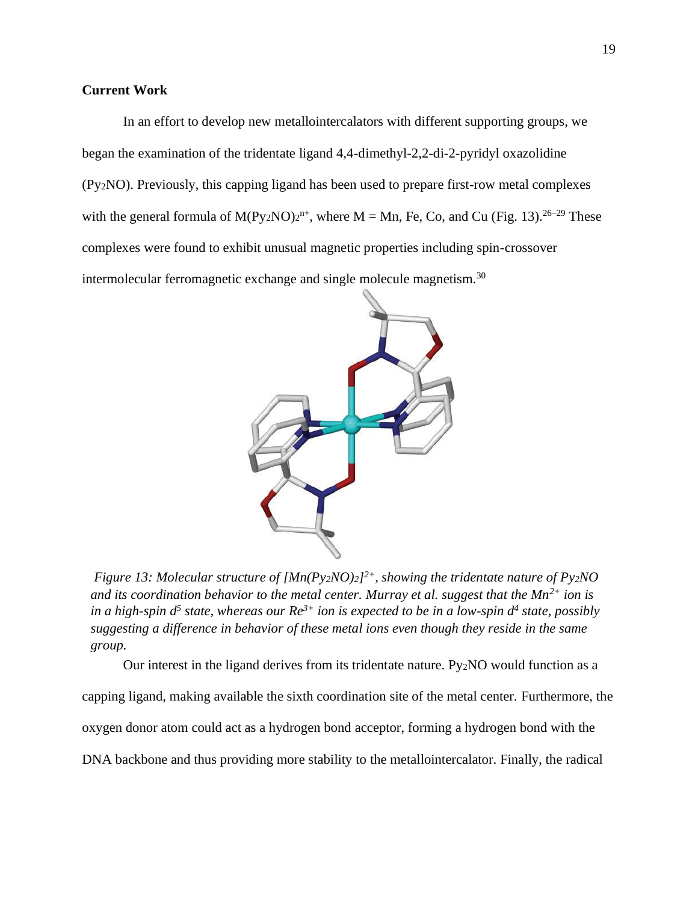## **Current Work**

In an effort to develop new metallointercalators with different supporting groups, we began the examination of the tridentate ligand 4,4-dimethyl-2,2-di-2-pyridyl oxazolidine (Py2NO). Previously, this capping ligand has been used to prepare first-row metal complexes with the general formula of  $M(Py_2NO)2^{n+}$ , where  $M = Mn$ , Fe, Co, and Cu (Fig. 13).<sup>26–29</sup> These complexes were found to exhibit unusual magnetic properties including spin-crossover intermolecular ferromagnetic exchange and single molecule magnetism.<sup>30</sup>



*Figure 13: Molecular structure of [Mn(Py2NO)2] 2+, showing the tridentate nature of Py2NO and its coordination behavior to the metal center. Murray et al. suggest that the Mn2+ ion is in a high-spin d<sup>5</sup> state, whereas our Re3+ ion is expected to be in a low-spin d<sup>4</sup> state, possibly suggesting a difference in behavior of these metal ions even though they reside in the same group.*

Our interest in the ligand derives from its tridentate nature. Py2NO would function as a capping ligand, making available the sixth coordination site of the metal center. Furthermore, the oxygen donor atom could act as a hydrogen bond acceptor, forming a hydrogen bond with the DNA backbone and thus providing more stability to the metallointercalator. Finally, the radical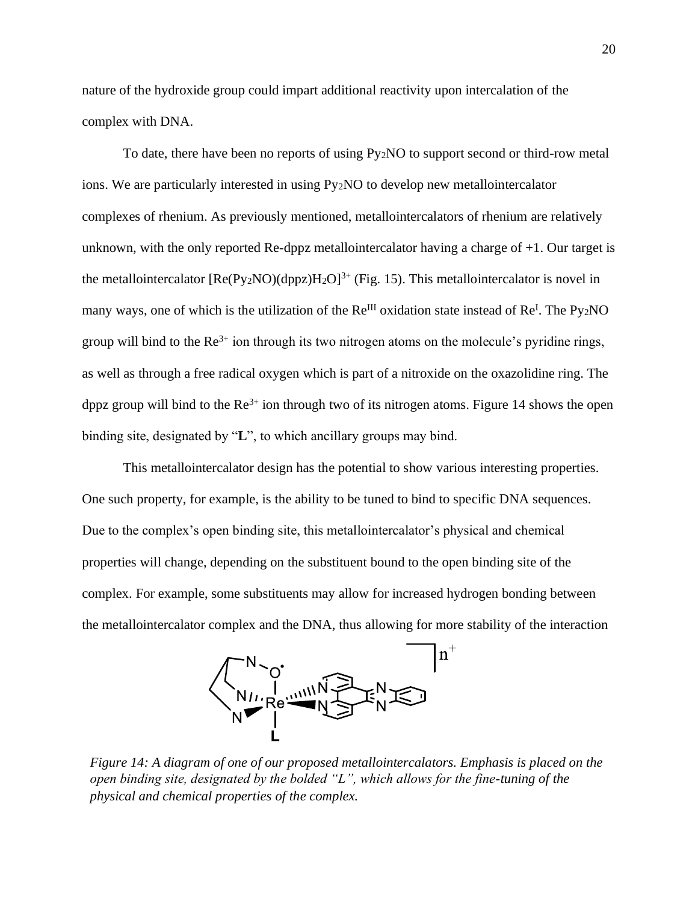nature of the hydroxide group could impart additional reactivity upon intercalation of the complex with DNA.

To date, there have been no reports of using  $Py_2NO$  to support second or third-row metal ions. We are particularly interested in using Py2NO to develop new metallointercalator complexes of rhenium. As previously mentioned, metallointercalators of rhenium are relatively unknown, with the only reported Re-dppz metallointercalator having a charge of +1. Our target is the metallointercalator  $[Re(P_{V2}NO)(dp_{DZ})H_2O]^{3+}$  (Fig. 15). This metallointercalator is novel in many ways, one of which is the utilization of the  $Re^{III}$  oxidation state instead of  $Re^{I}$ . The Py<sub>2</sub>NO group will bind to the  $\text{Re}^{3+}$  ion through its two nitrogen atoms on the molecule's pyridine rings, as well as through a free radical oxygen which is part of a nitroxide on the oxazolidine ring. The dppz group will bind to the  $\text{Re}^{3+}$  ion through two of its nitrogen atoms. Figure 14 shows the open binding site, designated by "**L**", to which ancillary groups may bind.

This metallointercalator design has the potential to show various interesting properties. One such property, for example, is the ability to be tuned to bind to specific DNA sequences. Due to the complex's open binding site, this metallointercalator's physical and chemical properties will change, depending on the substituent bound to the open binding site of the complex. For example, some substituents may allow for increased hydrogen bonding between the metallointercalator complex and the DNA, thus allowing for more stability of the interaction



*Figure 14: A diagram of one of our proposed metallointercalators. Emphasis is placed on the open binding site, designated by the bolded "L", which allows for the fine-tuning of the physical and chemical properties of the complex.*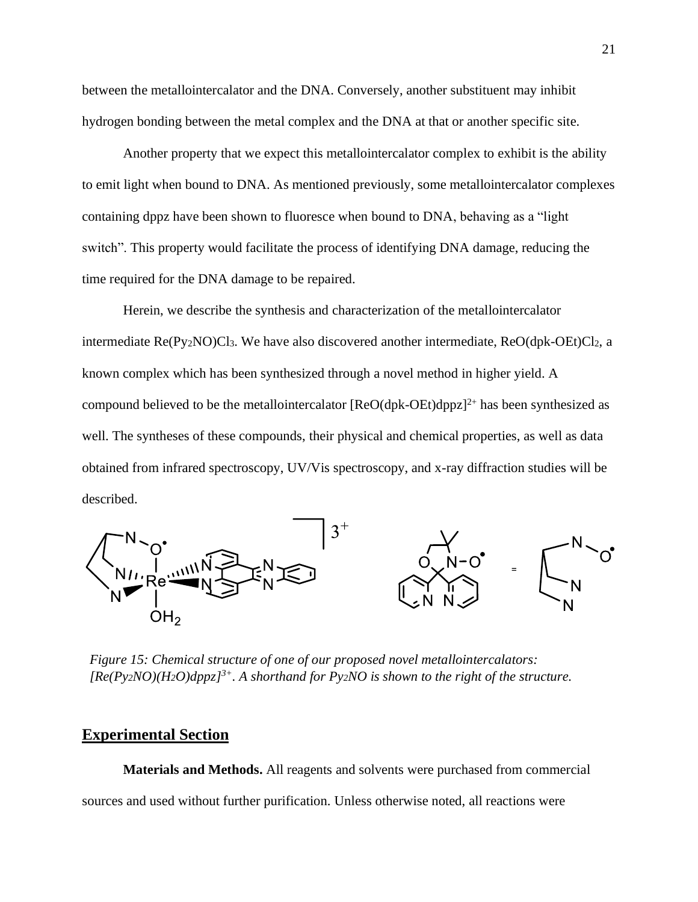between the metallointercalator and the DNA. Conversely, another substituent may inhibit hydrogen bonding between the metal complex and the DNA at that or another specific site.

Another property that we expect this metallointercalator complex to exhibit is the ability to emit light when bound to DNA. As mentioned previously, some metallointercalator complexes containing dppz have been shown to fluoresce when bound to DNA, behaving as a "light switch". This property would facilitate the process of identifying DNA damage, reducing the time required for the DNA damage to be repaired.

Herein, we describe the synthesis and characterization of the metallointercalator intermediate Re(Py<sub>2</sub>NO)Cl<sub>3</sub>. We have also discovered another intermediate, ReO(dpk-OEt)Cl<sub>2</sub>, a known complex which has been synthesized through a novel method in higher yield. A compound believed to be the metallointercalator  $[ReO(dpk-OEt)dppz]^{2+}$  has been synthesized as well. The syntheses of these compounds, their physical and chemical properties, as well as data obtained from infrared spectroscopy, UV/Vis spectroscopy, and x-ray diffraction studies will be described.



*Figure 15: Chemical structure of one of our proposed novel metallointercalators: [Re(Py2NO)(H2O)dppz]3+. A shorthand for Py2NO is shown to the right of the structure.*

## **Experimental Section**

**Materials and Methods.** All reagents and solvents were purchased from commercial sources and used without further purification. Unless otherwise noted, all reactions were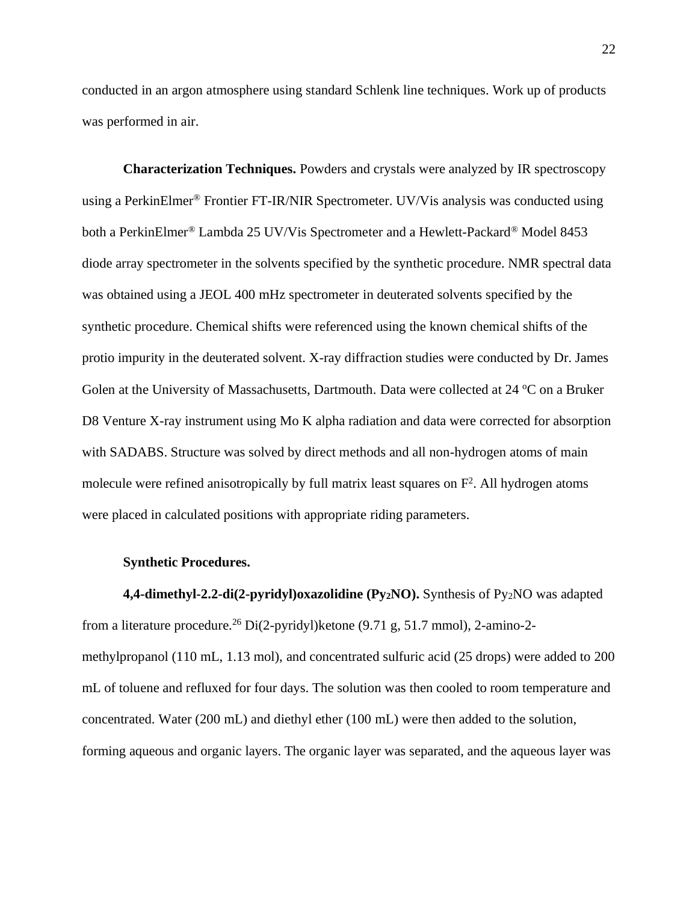conducted in an argon atmosphere using standard Schlenk line techniques. Work up of products was performed in air.

**Characterization Techniques.** Powders and crystals were analyzed by IR spectroscopy using a PerkinElmer® Frontier FT-IR/NIR Spectrometer. UV/Vis analysis was conducted using both a PerkinElmer<sup>®</sup> Lambda 25 UV/Vis Spectrometer and a Hewlett-Packard<sup>®</sup> Model 8453 diode array spectrometer in the solvents specified by the synthetic procedure. NMR spectral data was obtained using a JEOL 400 mHz spectrometer in deuterated solvents specified by the synthetic procedure. Chemical shifts were referenced using the known chemical shifts of the protio impurity in the deuterated solvent. X-ray diffraction studies were conducted by Dr. James Golen at the University of Massachusetts, Dartmouth. Data were collected at 24 °C on a Bruker D8 Venture X-ray instrument using Mo K alpha radiation and data were corrected for absorption with SADABS. Structure was solved by direct methods and all non-hydrogen atoms of main molecule were refined anisotropically by full matrix least squares on  $F<sup>2</sup>$ . All hydrogen atoms were placed in calculated positions with appropriate riding parameters.

#### **Synthetic Procedures.**

**4,4-dimethyl-2.2-di(2-pyridyl)oxazolidine (Py2NO).** Synthesis of Py2NO was adapted from a literature procedure.<sup>26</sup> Di(2-pyridyl)ketone (9.71 g, 51.7 mmol), 2-amino-2 methylpropanol (110 mL, 1.13 mol), and concentrated sulfuric acid (25 drops) were added to 200 mL of toluene and refluxed for four days. The solution was then cooled to room temperature and concentrated. Water (200 mL) and diethyl ether (100 mL) were then added to the solution, forming aqueous and organic layers. The organic layer was separated, and the aqueous layer was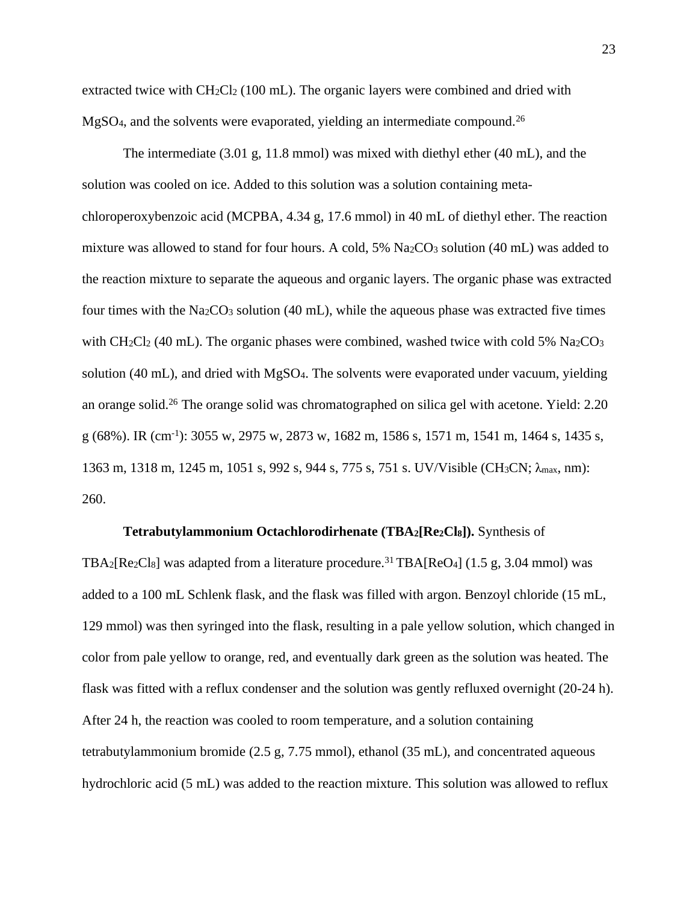extracted twice with CH<sub>2</sub>Cl<sub>2</sub> (100 mL). The organic layers were combined and dried with MgSO4, and the solvents were evaporated, yielding an intermediate compound.<sup>26</sup>

The intermediate (3.01 g, 11.8 mmol) was mixed with diethyl ether (40 mL), and the solution was cooled on ice. Added to this solution was a solution containing metachloroperoxybenzoic acid (MCPBA, 4.34 g, 17.6 mmol) in 40 mL of diethyl ether. The reaction mixture was allowed to stand for four hours. A cold,  $5\%$  Na<sub>2</sub>CO<sub>3</sub> solution (40 mL) was added to the reaction mixture to separate the aqueous and organic layers. The organic phase was extracted four times with the Na<sub>2</sub>CO<sub>3</sub> solution (40 mL), while the aqueous phase was extracted five times with CH<sub>2</sub>Cl<sub>2</sub> (40 mL). The organic phases were combined, washed twice with cold 5% Na<sub>2</sub>CO<sub>3</sub> solution (40 mL), and dried with MgSO4. The solvents were evaporated under vacuum, yielding an orange solid.<sup>26</sup> The orange solid was chromatographed on silica gel with acetone. Yield: 2.20 g (68%). IR (cm-1 ): 3055 w, 2975 w, 2873 w, 1682 m, 1586 s, 1571 m, 1541 m, 1464 s, 1435 s, 1363 m, 1318 m, 1245 m, 1051 s, 992 s, 944 s, 775 s, 751 s. UV/Visible (CH3CN; λmax, nm): 260.

#### **Tetrabutylammonium Octachlorodirhenate (TBA2[Re2Cl8]).** Synthesis of

TBA<sub>2</sub>[Re<sub>2</sub>Cl<sub>8</sub>] was adapted from a literature procedure.<sup>31</sup> TBA[ReO<sub>4</sub>] (1.5 g, 3.04 mmol) was added to a 100 mL Schlenk flask, and the flask was filled with argon. Benzoyl chloride (15 mL, 129 mmol) was then syringed into the flask, resulting in a pale yellow solution, which changed in color from pale yellow to orange, red, and eventually dark green as the solution was heated. The flask was fitted with a reflux condenser and the solution was gently refluxed overnight (20-24 h). After 24 h, the reaction was cooled to room temperature, and a solution containing tetrabutylammonium bromide (2.5 g, 7.75 mmol), ethanol (35 mL), and concentrated aqueous hydrochloric acid (5 mL) was added to the reaction mixture. This solution was allowed to reflux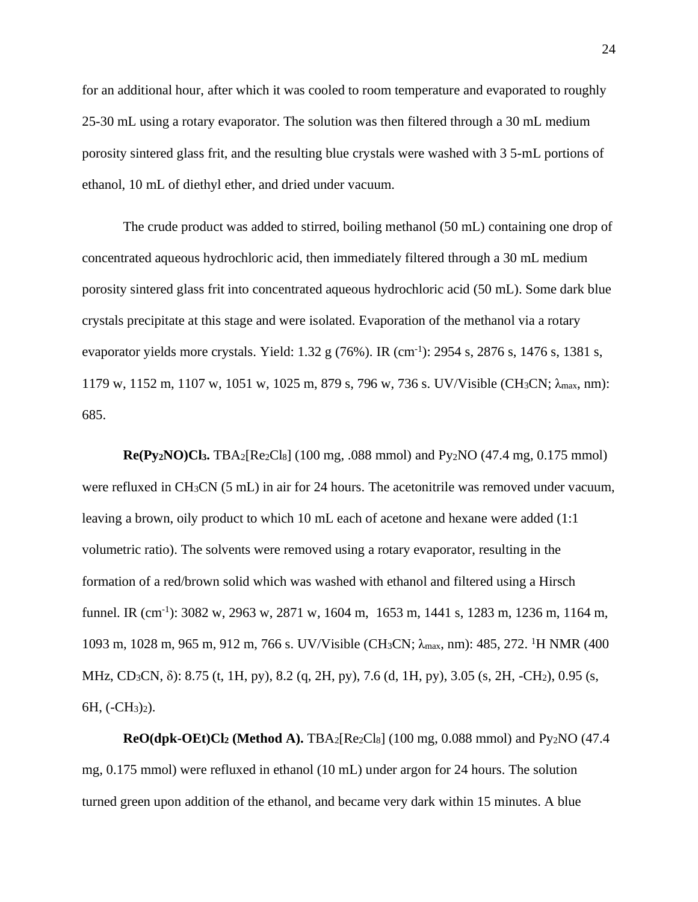for an additional hour, after which it was cooled to room temperature and evaporated to roughly 25-30 mL using a rotary evaporator. The solution was then filtered through a 30 mL medium porosity sintered glass frit, and the resulting blue crystals were washed with 3 5-mL portions of ethanol, 10 mL of diethyl ether, and dried under vacuum.

The crude product was added to stirred, boiling methanol (50 mL) containing one drop of concentrated aqueous hydrochloric acid, then immediately filtered through a 30 mL medium porosity sintered glass frit into concentrated aqueous hydrochloric acid (50 mL). Some dark blue crystals precipitate at this stage and were isolated. Evaporation of the methanol via a rotary evaporator yields more crystals. Yield:  $1.32 \text{ g} (76\%)$ . IR (cm<sup>-1</sup>): 2954 s, 2876 s, 1476 s, 1381 s, 1179 w, 1152 m, 1107 w, 1051 w, 1025 m, 879 s, 796 w, 736 s. UV/Visible (CH3CN; λmax, nm): 685.

**Re(Py2NO)Cl3.** TBA2[Re2Cl8] (100 mg, .088 mmol) and Py2NO (47.4 mg, 0.175 mmol) were refluxed in CH3CN (5 mL) in air for 24 hours. The acetonitrile was removed under vacuum, leaving a brown, oily product to which 10 mL each of acetone and hexane were added (1:1 volumetric ratio). The solvents were removed using a rotary evaporator, resulting in the formation of a red/brown solid which was washed with ethanol and filtered using a Hirsch funnel. IR (cm<sup>-1</sup>): 3082 w, 2963 w, 2871 w, 1604 m, 1653 m, 1441 s, 1283 m, 1236 m, 1164 m, 1093 m, 1028 m, 965 m, 912 m, 766 s. UV/Visible (CH<sub>3</sub>CN; λ<sub>max</sub>, nm): 485, 272. <sup>1</sup>H NMR (400 MHz, CD3CN, δ): 8.75 (t, 1H, py), 8.2 (q, 2H, py), 7.6 (d, 1H, py), 3.05 (s, 2H, -CH2), 0.95 (s, 6H, (-CH3)2).

**ReO(dpk-OEt)Cl<sup>2</sup> (Method A).** TBA2[Re2Cl8] (100 mg, 0.088 mmol) and Py2NO (47.4 mg, 0.175 mmol) were refluxed in ethanol (10 mL) under argon for 24 hours. The solution turned green upon addition of the ethanol, and became very dark within 15 minutes. A blue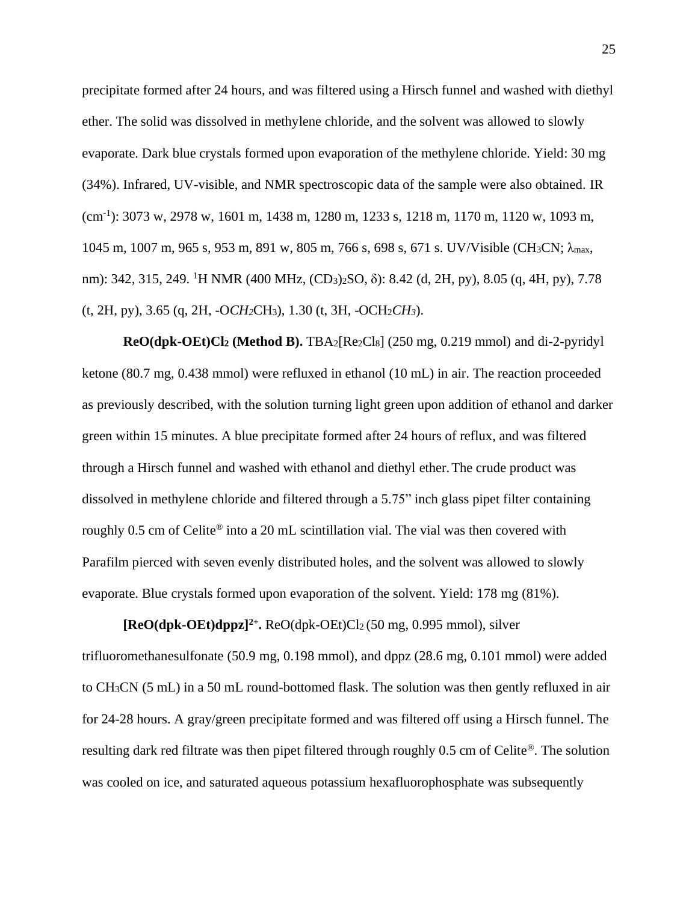precipitate formed after 24 hours, and was filtered using a Hirsch funnel and washed with diethyl ether. The solid was dissolved in methylene chloride, and the solvent was allowed to slowly evaporate. Dark blue crystals formed upon evaporation of the methylene chloride. Yield: 30 mg (34%). Infrared, UV-visible, and NMR spectroscopic data of the sample were also obtained. IR (cm-1 ): 3073 w, 2978 w, 1601 m, 1438 m, 1280 m, 1233 s, 1218 m, 1170 m, 1120 w, 1093 m, 1045 m, 1007 m, 965 s, 953 m, 891 w, 805 m, 766 s, 698 s, 671 s. UV/Visible (CH<sub>3</sub>CN; λ<sub>max</sub>, nm): 342, 315, 249. <sup>1</sup>H NMR (400 MHz, (CD<sub>3</sub>)<sub>2</sub>SO, δ): 8.42 (d, 2H, py), 8.05 (q, 4H, py), 7.78 (t, 2H, py), 3.65 (q, 2H, -O*CH2*CH3), 1.30 (t, 3H, -OCH2*CH3*).

**ReO(dpk-OEt)Cl<sup>2</sup> (Method B).** TBA2[Re2Cl8] (250 mg, 0.219 mmol) and di-2-pyridyl ketone (80.7 mg, 0.438 mmol) were refluxed in ethanol (10 mL) in air. The reaction proceeded as previously described, with the solution turning light green upon addition of ethanol and darker green within 15 minutes. A blue precipitate formed after 24 hours of reflux, and was filtered through a Hirsch funnel and washed with ethanol and diethyl ether.The crude product was dissolved in methylene chloride and filtered through a 5.75" inch glass pipet filter containing roughly 0.5 cm of Celite® into a 20 mL scintillation vial. The vial was then covered with Parafilm pierced with seven evenly distributed holes, and the solvent was allowed to slowly evaporate. Blue crystals formed upon evaporation of the solvent. Yield: 178 mg (81%).

**[ReO(dpk-OEt)dppz]2+ .** ReO(dpk-OEt)Cl2 (50 mg, 0.995 mmol), silver trifluoromethanesulfonate (50.9 mg, 0.198 mmol), and dppz (28.6 mg, 0.101 mmol) were added to CH3CN (5 mL) in a 50 mL round-bottomed flask. The solution was then gently refluxed in air for 24-28 hours. A gray/green precipitate formed and was filtered off using a Hirsch funnel. The resulting dark red filtrate was then pipet filtered through roughly 0.5 cm of Celite®. The solution was cooled on ice, and saturated aqueous potassium hexafluorophosphate was subsequently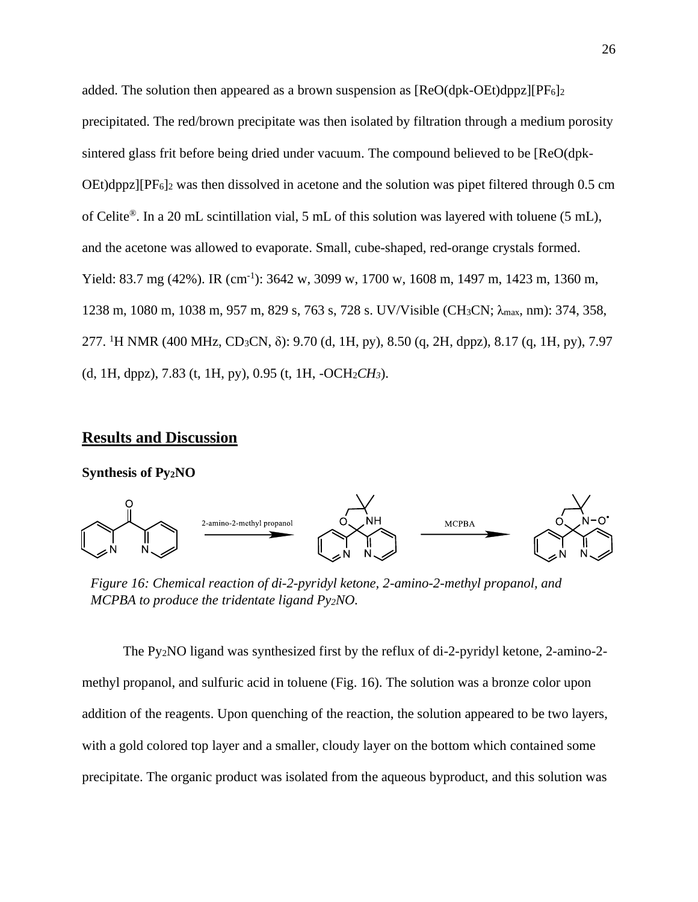added. The solution then appeared as a brown suspension as  $[ReO(dpk-OEt)dppz][PF<sub>6</sub>]$ precipitated. The red/brown precipitate was then isolated by filtration through a medium porosity sintered glass frit before being dried under vacuum. The compound believed to be [ReO(dpk-OEt)dppz][PF6]<sup>2</sup> was then dissolved in acetone and the solution was pipet filtered through 0.5 cm of Celite®. In a 20 mL scintillation vial, 5 mL of this solution was layered with toluene (5 mL), and the acetone was allowed to evaporate. Small, cube-shaped, red-orange crystals formed. Yield: 83.7 mg (42%). IR (cm<sup>-1</sup>): 3642 w, 3099 w, 1700 w, 1608 m, 1497 m, 1423 m, 1360 m, 1238 m, 1080 m, 1038 m, 957 m, 829 s, 763 s, 728 s. UV/Visible (CH3CN; λmax, nm): 374, 358, 277. <sup>1</sup>H NMR (400 MHz, CD3CN, δ): 9.70 (d, 1H, py), 8.50 (q, 2H, dppz), 8.17 (q, 1H, py), 7.97 (d, 1H, dppz), 7.83 (t, 1H, py), 0.95 (t, 1H, -OCH2*CH3*).

## **Results and Discussion**

#### **Synthesis of Py2NO**



*Figure 16: Chemical reaction of di-2-pyridyl ketone, 2-amino-2-methyl propanol, and MCPBA to produce the tridentate ligand Py2NO.*

The Py2NO ligand was synthesized first by the reflux of di-2-pyridyl ketone, 2-amino-2 methyl propanol, and sulfuric acid in toluene (Fig. 16). The solution was a bronze color upon addition of the reagents. Upon quenching of the reaction, the solution appeared to be two layers, with a gold colored top layer and a smaller, cloudy layer on the bottom which contained some precipitate. The organic product was isolated from the aqueous byproduct, and this solution was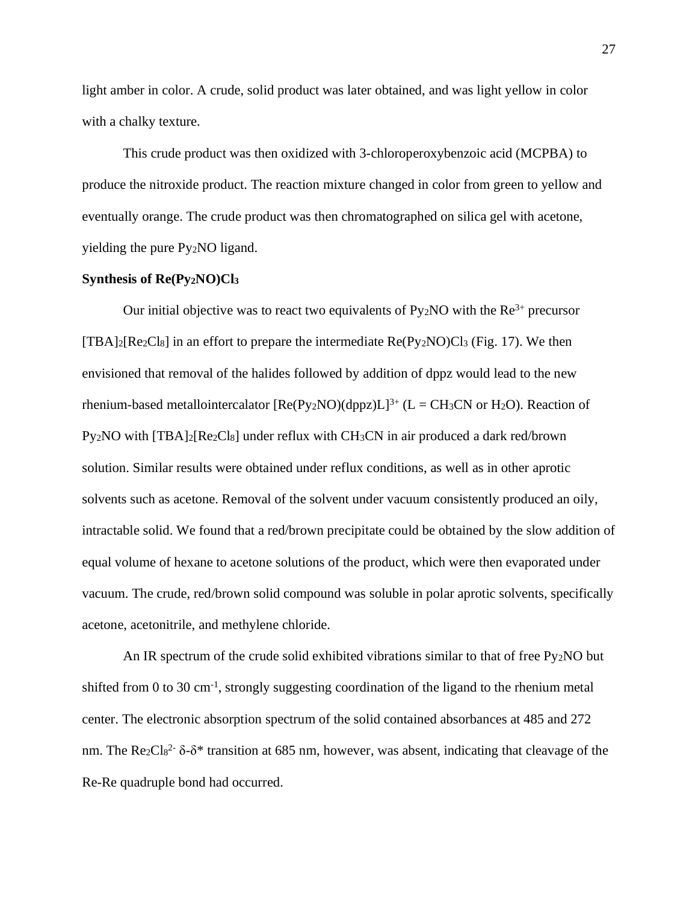light amber in color. A crude, solid product was later obtained, and was light yellow in color with a chalky texture.

This crude product was then oxidized with 3-chloroperoxybenzoic acid (MCPBA) to produce the nitroxide product. The reaction mixture changed in color from green to yellow and eventually orange. The crude product was then chromatographed on silica gel with acetone, yielding the pure Py2NO ligand.

#### **Synthesis of Re(Py2NO)Cl<sup>3</sup>**

Our initial objective was to react two equivalents of  $Py_2NO$  with the  $Re^{3+}$  precursor  $[TBA]_2[Re_2Cl_8]$  in an effort to prepare the intermediate  $Re(Py_2NO)Cl_3$  (Fig. 17). We then envisioned that removal of the halides followed by addition of dppz would lead to the new rhenium-based metallointercalator  $[Re(Py_2NO)(dppz)L]^{3+} (L = CH_3CN)$  or  $H_2O$ ). Reaction of Py2NO with [TBA]2[Re2Cl8] under reflux with CH3CN in air produced a dark red/brown solution. Similar results were obtained under reflux conditions, as well as in other aprotic solvents such as acetone. Removal of the solvent under vacuum consistently produced an oily, intractable solid. We found that a red/brown precipitate could be obtained by the slow addition of equal volume of hexane to acetone solutions of the product, which were then evaporated under vacuum. The crude, red/brown solid compound was soluble in polar aprotic solvents, specifically acetone, acetonitrile, and methylene chloride.

An IR spectrum of the crude solid exhibited vibrations similar to that of free Py2NO but shifted from 0 to 30 cm<sup>-1</sup>, strongly suggesting coordination of the ligand to the rhenium metal center. The electronic absorption spectrum of the solid contained absorbances at 485 and 272 nm. The Re2Cl<sup>82-</sup>  $\delta$ - $\delta^*$  transition at 685 nm, however, was absent, indicating that cleavage of the Re-Re quadruple bond had occurred.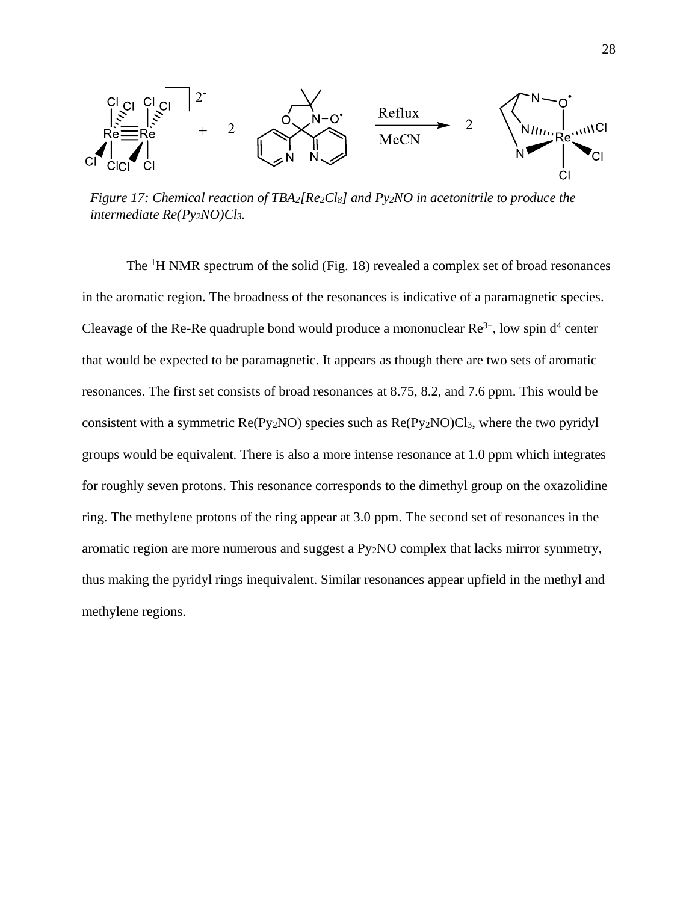

*Figure 17: Chemical reaction of TBA2[Re2Cl8] and Py2NO in acetonitrile to produce the intermediate Re(Py2NO)Cl3.*

The <sup>1</sup>H NMR spectrum of the solid (Fig. 18) revealed a complex set of broad resonances in the aromatic region. The broadness of the resonances is indicative of a paramagnetic species. Cleavage of the Re-Re quadruple bond would produce a mononuclear  $\text{Re}^{3+}$ , low spin  $d^4$  center that would be expected to be paramagnetic. It appears as though there are two sets of aromatic resonances. The first set consists of broad resonances at 8.75, 8.2, and 7.6 ppm. This would be consistent with a symmetric  $Re(Py_2NO)$  species such as  $Re(Py_2NO)Cl_3$ , where the two pyridyl groups would be equivalent. There is also a more intense resonance at 1.0 ppm which integrates for roughly seven protons. This resonance corresponds to the dimethyl group on the oxazolidine ring. The methylene protons of the ring appear at 3.0 ppm. The second set of resonances in the aromatic region are more numerous and suggest a Py2NO complex that lacks mirror symmetry, thus making the pyridyl rings inequivalent. Similar resonances appear upfield in the methyl and methylene regions.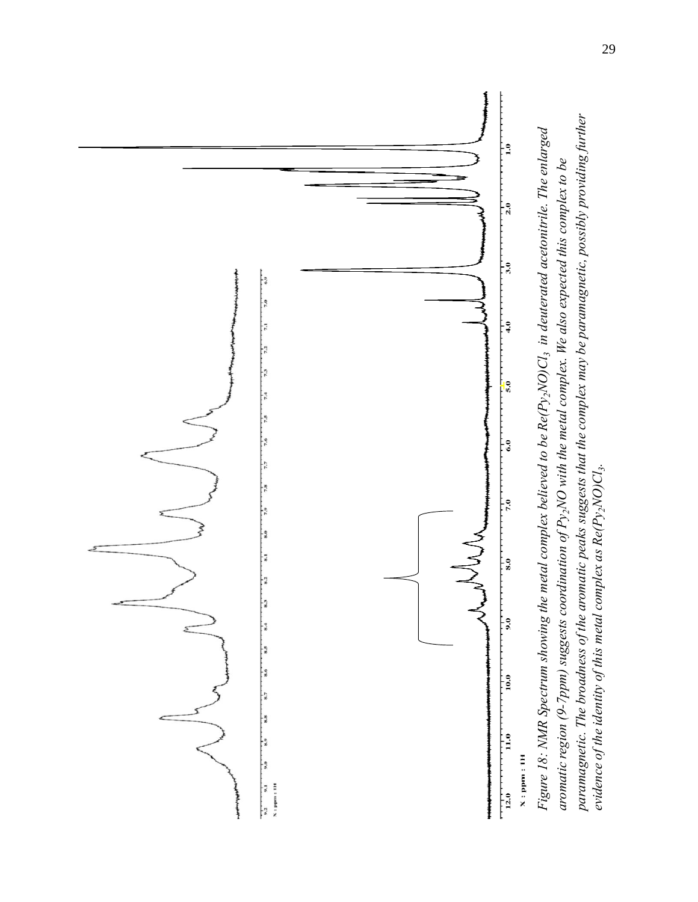

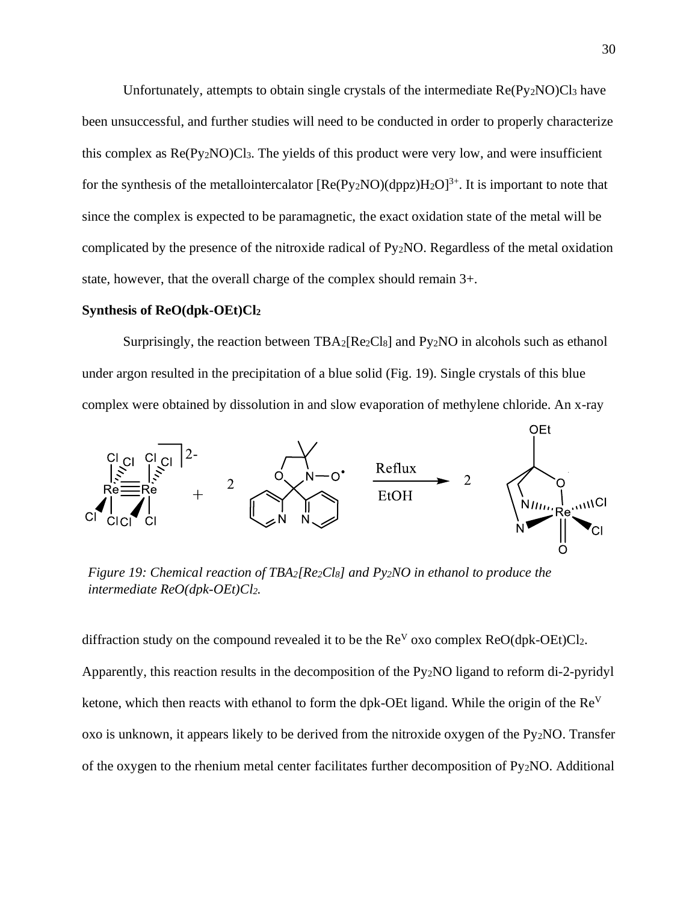Unfortunately, attempts to obtain single crystals of the intermediate Re(Py<sub>2</sub>NO)Cl<sub>3</sub> have been unsuccessful, and further studies will need to be conducted in order to properly characterize this complex as  $Re(Py_2NO)Cl_3$ . The yields of this product were very low, and were insufficient for the synthesis of the metallointercalator  $[Re(Py_2NO)(dppz)H_2O]^{3+}$ . It is important to note that since the complex is expected to be paramagnetic, the exact oxidation state of the metal will be complicated by the presence of the nitroxide radical of Py2NO. Regardless of the metal oxidation state, however, that the overall charge of the complex should remain 3+.

#### **Synthesis of ReO(dpk-OEt)Cl<sup>2</sup>**

Surprisingly, the reaction between TBA<sub>2</sub>[Re<sub>2</sub>Cl<sub>8</sub>] and Py<sub>2</sub>NO in alcohols such as ethanol under argon resulted in the precipitation of a blue solid (Fig. 19). Single crystals of this blue complex were obtained by dissolution in and slow evaporation of methylene chloride. An x-ray



*Figure 19: Chemical reaction of TBA2[Re2Cl8] and Py2NO in ethanol to produce the intermediate ReO(dpk-OEt)Cl2.*

diffraction study on the compound revealed it to be the  $\text{Re}^V$  oxo complex  $\text{ReO}(\text{d}p\text{k}-\text{OE}t)Cl_2$ . Apparently, this reaction results in the decomposition of the Py2NO ligand to reform di-2-pyridyl ketone, which then reacts with ethanol to form the dpk-OEt ligand. While the origin of the Re<sup>V</sup> oxo is unknown, it appears likely to be derived from the nitroxide oxygen of the Py2NO. Transfer of the oxygen to the rhenium metal center facilitates further decomposition of Py2NO. Additional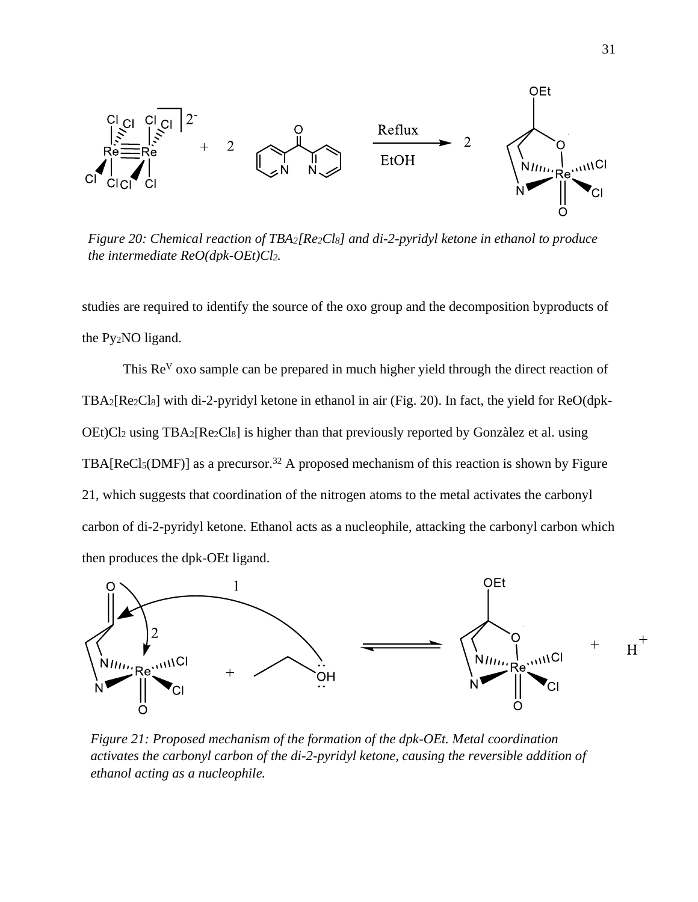

*Figure 20: Chemical reaction of TBA2[Re2Cl8] and di-2-pyridyl ketone in ethanol to produce the intermediate ReO(dpk-OEt)Cl2.*

studies are required to identify the source of the oxo group and the decomposition byproducts of the Py2NO ligand.

This Re<sup>V</sup> oxo sample can be prepared in much higher yield through the direct reaction of TBA2[Re2Cl8] with di-2-pyridyl ketone in ethanol in air (Fig. 20). In fact, the yield for ReO(dpk-OEt)Cl<sup>2</sup> using TBA2[Re2Cl8] is higher than that previously reported by Gonzàlez et al. using TBA[ $Recl_5(DMF)$ ] as a precursor.<sup>32</sup> A proposed mechanism of this reaction is shown by Figure 21, which suggests that coordination of the nitrogen atoms to the metal activates the carbonyl carbon of di-2-pyridyl ketone. Ethanol acts as a nucleophile, attacking the carbonyl carbon which then produces the dpk-OEt ligand.



*Figure 21: Proposed mechanism of the formation of the dpk-OEt. Metal coordination activates the carbonyl carbon of the di-2-pyridyl ketone, causing the reversible addition of ethanol acting as a nucleophile.*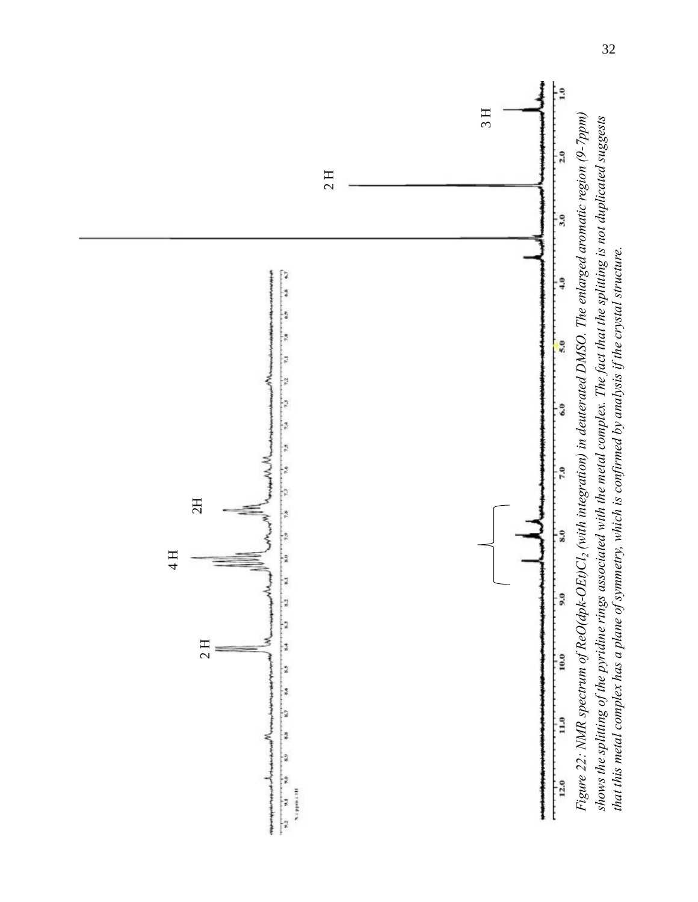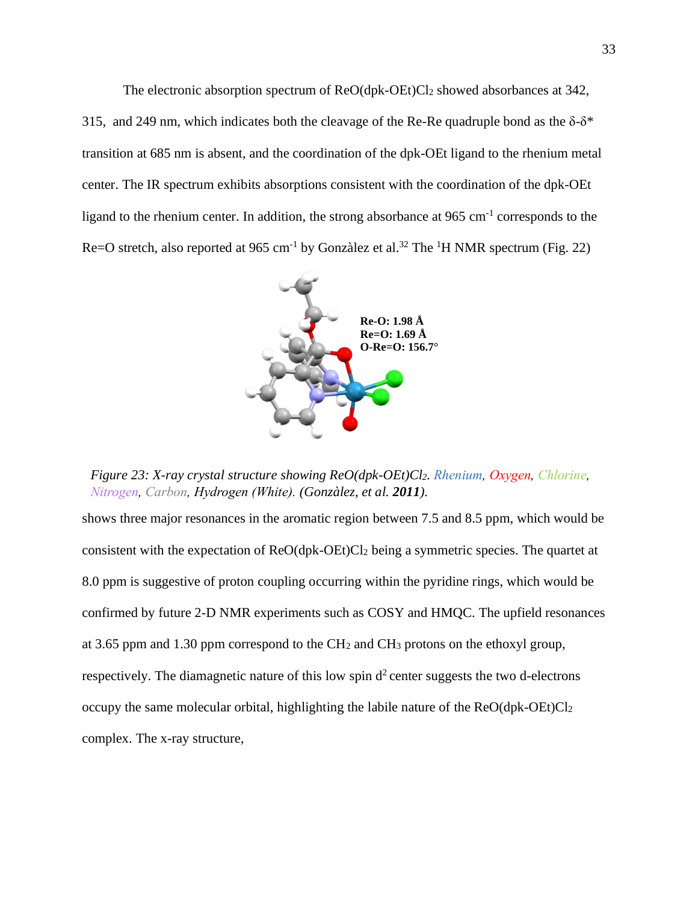The electronic absorption spectrum of ReO(dpk-OEt)Cl2 showed absorbances at 342, 315, and 249 nm, which indicates both the cleavage of the Re-Re quadruple bond as the  $\delta-\delta^*$ transition at 685 nm is absent, and the coordination of the dpk-OEt ligand to the rhenium metal center. The IR spectrum exhibits absorptions consistent with the coordination of the dpk-OEt ligand to the rhenium center. In addition, the strong absorbance at 965 cm<sup>-1</sup> corresponds to the Re=O stretch, also reported at  $965 \text{ cm}^{-1}$  by Gonzàlez et al.<sup>32</sup> The <sup>1</sup>H NMR spectrum (Fig. 22)



*Figure 23: X-ray crystal structure showing ReO(dpk-OEt)Cl2. Rhenium, Oxygen, Chlorine, Nitrogen, Carbon, Hydrogen (White). (Gonzàlez, et al. 2011).* 

shows three major resonances in the aromatic region between 7.5 and 8.5 ppm, which would be consistent with the expectation of ReO(dpk-OEt)Cl<sup>2</sup> being a symmetric species. The quartet at 8.0 ppm is suggestive of proton coupling occurring within the pyridine rings, which would be confirmed by future 2-D NMR experiments such as COSY and HMQC. The upfield resonances at 3.65 ppm and 1.30 ppm correspond to the CH<sup>2</sup> and CH<sup>3</sup> protons on the ethoxyl group, respectively. The diamagnetic nature of this low spin  $d^2$  center suggests the two d-electrons occupy the same molecular orbital, highlighting the labile nature of the ReO(dpk-OEt)Cl<sup>2</sup> complex. The x-ray structure,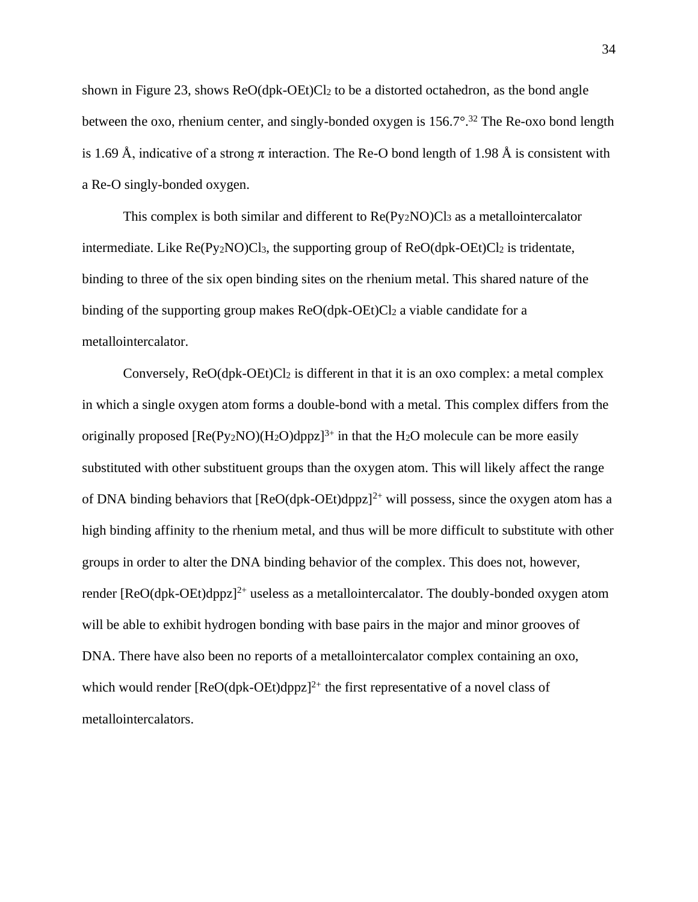shown in Figure 23, shows ReO(dpk-OEt)Cl<sup>2</sup> to be a distorted octahedron, as the bond angle between the oxo, rhenium center, and singly-bonded oxygen is 156.7°.<sup>32</sup> The Re-oxo bond length is 1.69 Å, indicative of a strong  $\pi$  interaction. The Re-O bond length of 1.98 Å is consistent with a Re-O singly-bonded oxygen.

This complex is both similar and different to  $Re(Pv_2NO)Cl_3$  as a metallointercalator intermediate. Like  $Re(Py_2NO)Cl_3$ , the supporting group of  $ReO(dpk-OEt)Cl_2$  is tridentate, binding to three of the six open binding sites on the rhenium metal. This shared nature of the binding of the supporting group makes  $ReO(dpk-OEt)Cl_2$  a viable candidate for a metallointercalator.

Conversely,  $ReO(dpk-OE)$  is different in that it is an oxo complex: a metal complex in which a single oxygen atom forms a double-bond with a metal. This complex differs from the originally proposed  $[Re(P_{V2}NO)(H_2O)dpzz]^{3+}$  in that the H<sub>2</sub>O molecule can be more easily substituted with other substituent groups than the oxygen atom. This will likely affect the range of DNA binding behaviors that  $[ReO(dpk-OEt)dpzz]^{2+}$  will possess, since the oxygen atom has a high binding affinity to the rhenium metal, and thus will be more difficult to substitute with other groups in order to alter the DNA binding behavior of the complex. This does not, however, render  $[ReO(dpk-OEt)dppz]^{2+}$  useless as a metallointercalator. The doubly-bonded oxygen atom will be able to exhibit hydrogen bonding with base pairs in the major and minor grooves of DNA. There have also been no reports of a metallointercalator complex containing an oxo, which would render  $[ReO(dpk-OEt)dpzz]^{2+}$  the first representative of a novel class of metallointercalators.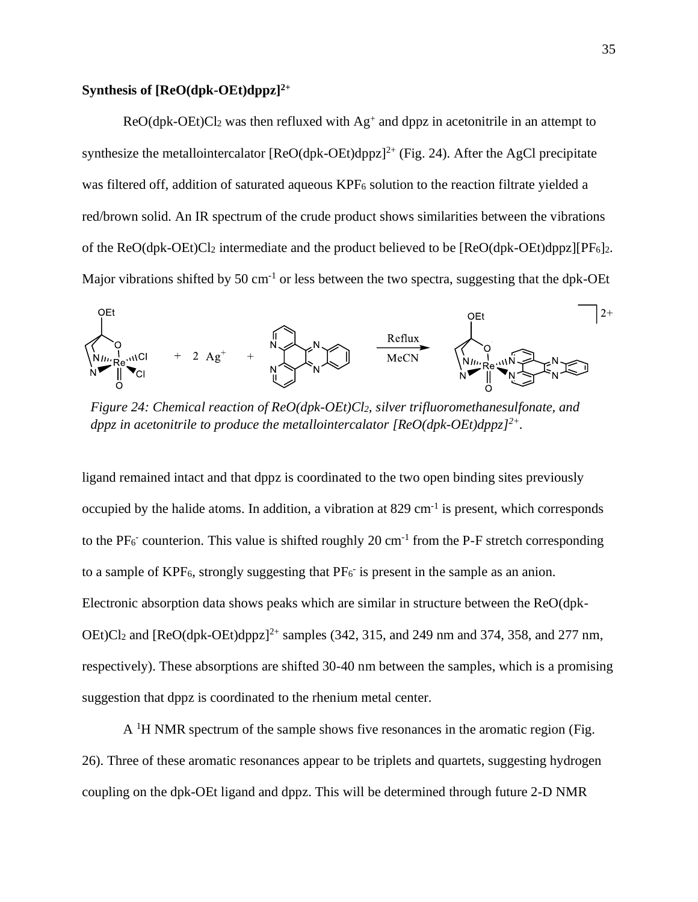## **Synthesis of [ReO(dpk-OEt)dppz]2+**

 $ReO(dpk-OEt)Cl<sub>2</sub>$  was then refluxed with  $Ag<sup>+</sup>$  and dppz in acetonitrile in an attempt to synthesize the metallointercalator  $[ReO(dpk-OEt)dppz]^{2+}$  (Fig. 24). After the AgCl precipitate was filtered off, addition of saturated aqueous KPF<sub>6</sub> solution to the reaction filtrate yielded a red/brown solid. An IR spectrum of the crude product shows similarities between the vibrations of the ReO(dpk-OEt)Cl<sub>2</sub> intermediate and the product believed to be  $[ReO(dpk-OEt)dppz][PF<sub>6</sub>]$ . Major vibrations shifted by 50 cm<sup>-1</sup> or less between the two spectra, suggesting that the dpk-OEt



*Figure 24: Chemical reaction of ReO(dpk-OEt)Cl2, silver trifluoromethanesulfonate, and dppz in acetonitrile to produce the metallointercalator [ReO(dpk-OEt)dppz]2+.*

ligand remained intact and that dppz is coordinated to the two open binding sites previously occupied by the halide atoms. In addition, a vibration at 829 cm<sup>-1</sup> is present, which corresponds to the  $PF_6$  counterion. This value is shifted roughly 20 cm<sup>-1</sup> from the P-F stretch corresponding to a sample of  $KPF_6$ , strongly suggesting that  $PF_6$  is present in the sample as an anion. Electronic absorption data shows peaks which are similar in structure between the ReO(dpk-OEt)Cl<sub>2</sub> and [ReO(dpk-OEt)dppz]<sup>2+</sup> samples (342, 315, and 249 nm and 374, 358, and 277 nm, respectively). These absorptions are shifted 30-40 nm between the samples, which is a promising suggestion that dppz is coordinated to the rhenium metal center.

 $A<sup>1</sup>H NMR$  spectrum of the sample shows five resonances in the aromatic region (Fig. 26). Three of these aromatic resonances appear to be triplets and quartets, suggesting hydrogen coupling on the dpk-OEt ligand and dppz. This will be determined through future 2-D NMR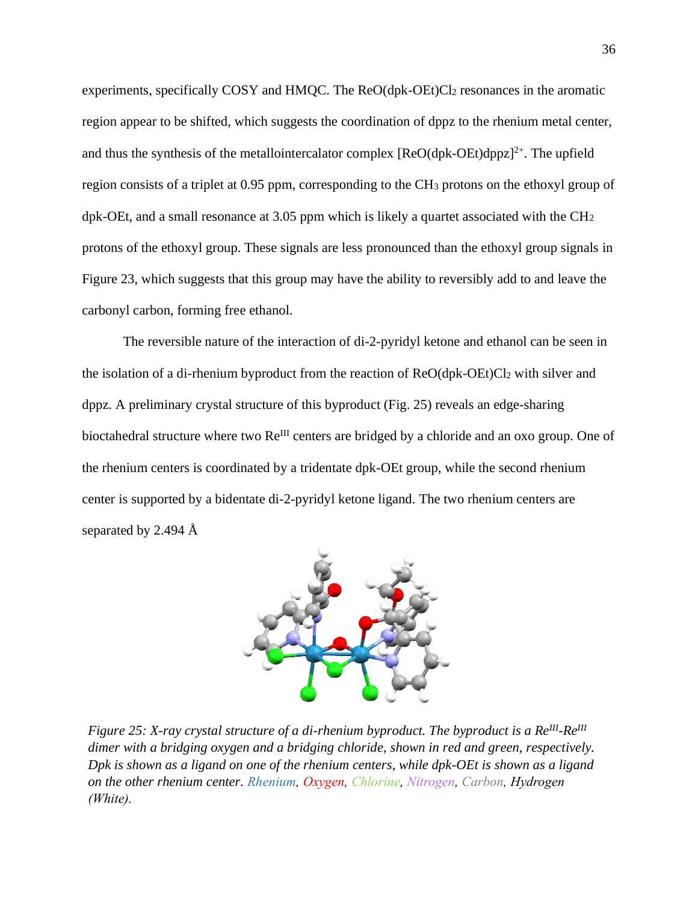experiments, specifically COSY and HMQC. The ReO(dpk-OEt)Cl2 resonances in the aromatic region appear to be shifted, which suggests the coordination of dppz to the rhenium metal center, and thus the synthesis of the metallointercalator complex  $[ReO(dpk-OEt)dppz]^{2+}$ . The upfield region consists of a triplet at 0.95 ppm, corresponding to the CH<sup>3</sup> protons on the ethoxyl group of dpk-OEt, and a small resonance at 3.05 ppm which is likely a quartet associated with the CH<sup>2</sup> protons of the ethoxyl group. These signals are less pronounced than the ethoxyl group signals in Figure 23, which suggests that this group may have the ability to reversibly add to and leave the carbonyl carbon, forming free ethanol.

The reversible nature of the interaction of di-2-pyridyl ketone and ethanol can be seen in the isolation of a di-rhenium byproduct from the reaction of ReO(dpk-OEt)Cl<sup>2</sup> with silver and dppz. A preliminary crystal structure of this byproduct (Fig. 25) reveals an edge-sharing bioctahedral structure where two Re<sup>III</sup> centers are bridged by a chloride and an oxo group. One of the rhenium centers is coordinated by a tridentate dpk-OEt group, while the second rhenium center is supported by a bidentate di-2-pyridyl ketone ligand. The two rhenium centers are separated by 2.494 Å



*Figure 25: X-ray crystal structure of a di-rhenium byproduct. The byproduct is a ReIII -ReIII dimer with a bridging oxygen and a bridging chloride, shown in red and green, respectively. Dpk is shown as a ligand on one of the rhenium centers, while dpk-OEt is shown as a ligand on the other rhenium center. Rhenium, Oxygen, Chlorine, Nitrogen, Carbon, Hydrogen (White).*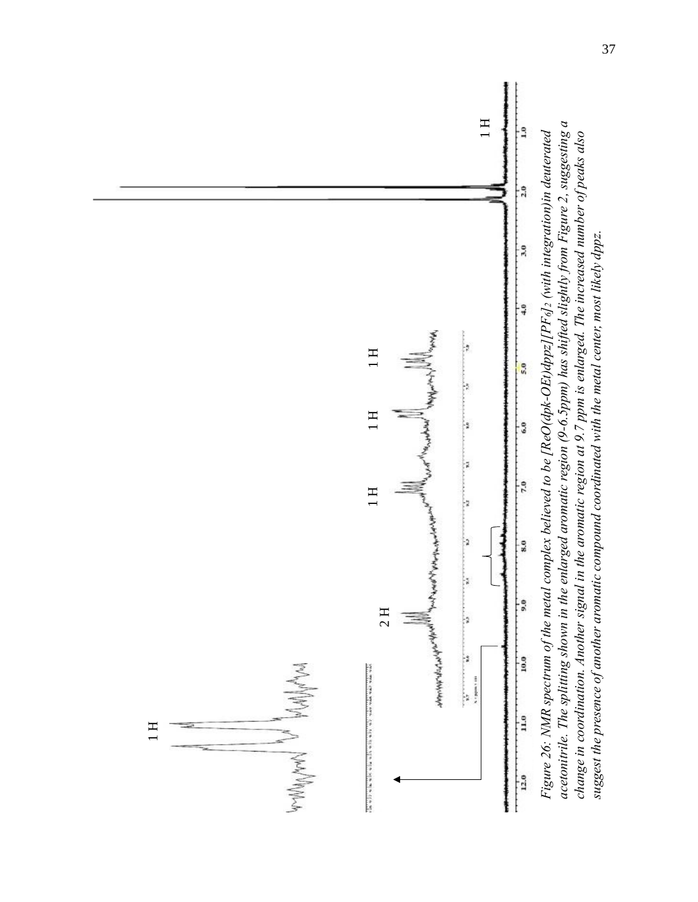

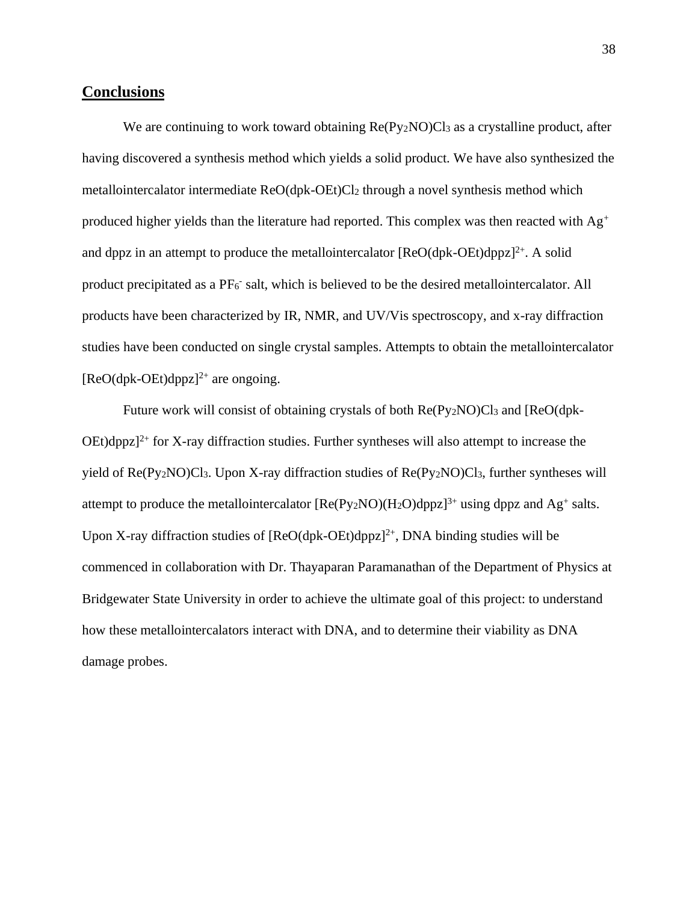## **Conclusions**

We are continuing to work toward obtaining Re(Py<sub>2</sub>NO)Cl<sub>3</sub> as a crystalline product, after having discovered a synthesis method which yields a solid product. We have also synthesized the metallointercalator intermediate ReO(dpk-OEt)Cl<sup>2</sup> through a novel synthesis method which produced higher yields than the literature had reported. This complex was then reacted with  $Ag^+$ and dppz in an attempt to produce the metallointercalator  $[ReO(dpk-OEt)dppz]^{2+}$ . A solid product precipitated as a PF<sub>6</sub> salt, which is believed to be the desired metallointercalator. All products have been characterized by IR, NMR, and UV/Vis spectroscopy, and x-ray diffraction studies have been conducted on single crystal samples. Attempts to obtain the metallointercalator  $[ReO(dpk-OEt)dppz]^{2+}$  are ongoing.

Future work will consist of obtaining crystals of both Re(Py<sub>2</sub>NO)Cl<sub>3</sub> and [ReO(dpk- $OEt$ )dppz]<sup>2+</sup> for X-ray diffraction studies. Further syntheses will also attempt to increase the yield of Re(Py2NO)Cl3. Upon X-ray diffraction studies of Re(Py2NO)Cl3, further syntheses will attempt to produce the metallointercalator  $[Re(Py_2NO)(H_2O)dppz]^{3+}$  using dppz and Ag<sup>+</sup> salts. Upon X-ray diffraction studies of  $[ReO(dpk-OEt)dppz]^2$ <sup>+</sup>, DNA binding studies will be commenced in collaboration with Dr. Thayaparan Paramanathan of the Department of Physics at Bridgewater State University in order to achieve the ultimate goal of this project: to understand how these metallointercalators interact with DNA, and to determine their viability as DNA damage probes.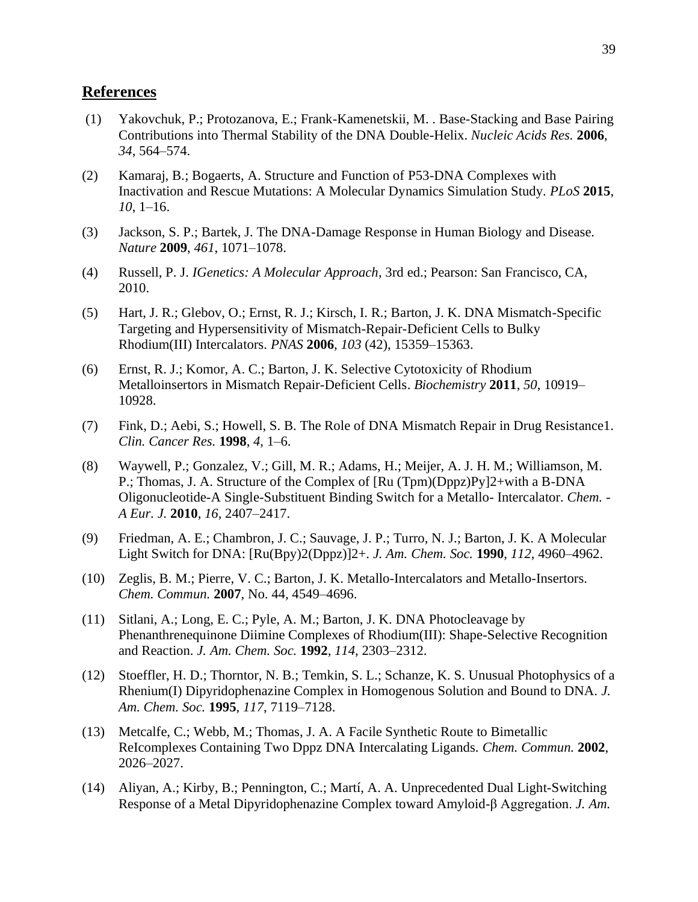## **References**

- (1) Yakovchuk, P.; Protozanova, E.; Frank-Kamenetskii, M. . Base-Stacking and Base Pairing Contributions into Thermal Stability of the DNA Double-Helix. *Nucleic Acids Res.* **2006**, *34*, 564–574.
- (2) Kamaraj, B.; Bogaerts, A. Structure and Function of P53-DNA Complexes with Inactivation and Rescue Mutations: A Molecular Dynamics Simulation Study. *PLoS* **2015**, *10*, 1–16.
- (3) Jackson, S. P.; Bartek, J. The DNA-Damage Response in Human Biology and Disease. *Nature* **2009**, *461*, 1071–1078.
- (4) Russell, P. J. *IGenetics: A Molecular Approach*, 3rd ed.; Pearson: San Francisco, CA, 2010.
- (5) Hart, J. R.; Glebov, O.; Ernst, R. J.; Kirsch, I. R.; Barton, J. K. DNA Mismatch-Specific Targeting and Hypersensitivity of Mismatch-Repair-Deficient Cells to Bulky Rhodium(III) Intercalators. *PNAS* **2006**, *103* (42), 15359–15363.
- (6) Ernst, R. J.; Komor, A. C.; Barton, J. K. Selective Cytotoxicity of Rhodium Metalloinsertors in Mismatch Repair-Deficient Cells. *Biochemistry* **2011**, *50*, 10919– 10928.
- (7) Fink, D.; Aebi, S.; Howell, S. B. The Role of DNA Mismatch Repair in Drug Resistance1. *Clin. Cancer Res.* **1998**, *4*, 1–6.
- (8) Waywell, P.; Gonzalez, V.; Gill, M. R.; Adams, H.; Meijer, A. J. H. M.; Williamson, M. P.; Thomas, J. A. Structure of the Complex of [Ru (Tpm)(Dppz)Py]2+with a B-DNA Oligonucleotide-A Single-Substituent Binding Switch for a Metallo- Intercalator. *Chem. - A Eur. J.* **2010**, *16*, 2407–2417.
- (9) Friedman, A. E.; Chambron, J. C.; Sauvage, J. P.; Turro, N. J.; Barton, J. K. A Molecular Light Switch for DNA: [Ru(Bpy)2(Dppz)]2+. *J. Am. Chem. Soc.* **1990**, *112*, 4960–4962.
- (10) Zeglis, B. M.; Pierre, V. C.; Barton, J. K. Metallo-Intercalators and Metallo-Insertors. *Chem. Commun.* **2007**, No. 44, 4549–4696.
- (11) Sitlani, A.; Long, E. C.; Pyle, A. M.; Barton, J. K. DNA Photocleavage by Phenanthrenequinone Diimine Complexes of Rhodium(III): Shape-Selective Recognition and Reaction. *J. Am. Chem. Soc.* **1992**, *114*, 2303–2312.
- (12) Stoeffler, H. D.; Thorntor, N. B.; Temkin, S. L.; Schanze, K. S. Unusual Photophysics of a Rhenium(I) Dipyridophenazine Complex in Homogenous Solution and Bound to DNA. *J. Am. Chem. Soc.* **1995**, *117*, 7119–7128.
- (13) Metcalfe, C.; Webb, M.; Thomas, J. A. A Facile Synthetic Route to Bimetallic ReIcomplexes Containing Two Dppz DNA Intercalating Ligands. *Chem. Commun.* **2002**, 2026–2027.
- (14) Aliyan, A.; Kirby, B.; Pennington, C.; Martí, A. A. Unprecedented Dual Light-Switching Response of a Metal Dipyridophenazine Complex toward Amyloid-β Aggregation. *J. Am.*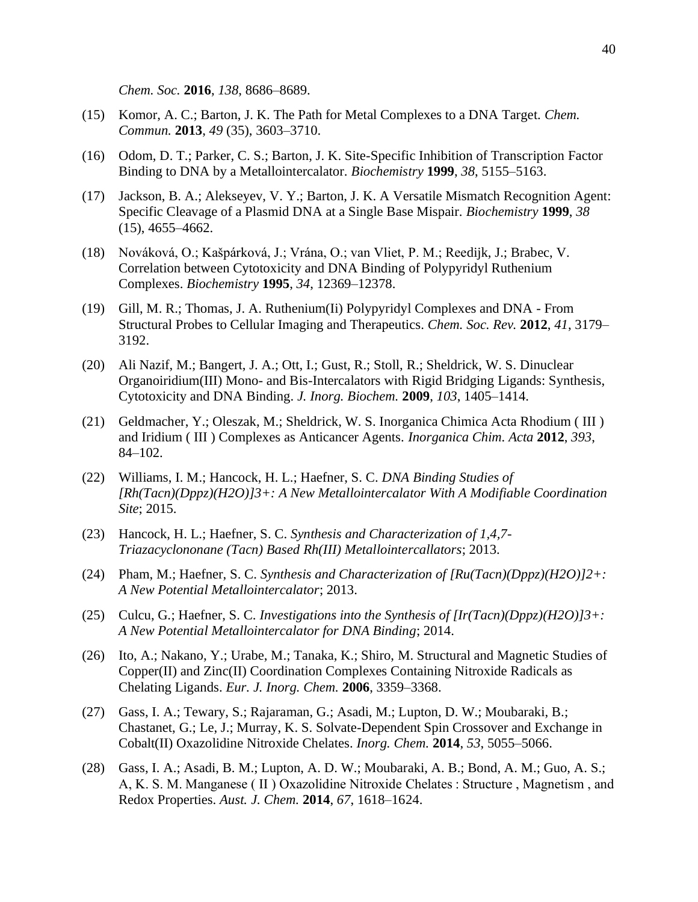*Chem. Soc.* **2016**, *138*, 8686–8689.

- (15) Komor, A. C.; Barton, J. K. The Path for Metal Complexes to a DNA Target. *Chem. Commun.* **2013**, *49* (35), 3603–3710.
- (16) Odom, D. T.; Parker, C. S.; Barton, J. K. Site-Specific Inhibition of Transcription Factor Binding to DNA by a Metallointercalator. *Biochemistry* **1999**, *38*, 5155–5163.
- (17) Jackson, B. A.; Alekseyev, V. Y.; Barton, J. K. A Versatile Mismatch Recognition Agent: Specific Cleavage of a Plasmid DNA at a Single Base Mispair. *Biochemistry* **1999**, *38* (15), 4655–4662.
- (18) Nováková, O.; Kašpárková, J.; Vrána, O.; van Vliet, P. M.; Reedijk, J.; Brabec, V. Correlation between Cytotoxicity and DNA Binding of Polypyridyl Ruthenium Complexes. *Biochemistry* **1995**, *34*, 12369–12378.
- (19) Gill, M. R.; Thomas, J. A. Ruthenium(Ii) Polypyridyl Complexes and DNA From Structural Probes to Cellular Imaging and Therapeutics. *Chem. Soc. Rev.* **2012**, *41*, 3179– 3192.
- (20) Ali Nazif, M.; Bangert, J. A.; Ott, I.; Gust, R.; Stoll, R.; Sheldrick, W. S. Dinuclear Organoiridium(III) Mono- and Bis-Intercalators with Rigid Bridging Ligands: Synthesis, Cytotoxicity and DNA Binding. *J. Inorg. Biochem.* **2009**, *103*, 1405–1414.
- (21) Geldmacher, Y.; Oleszak, M.; Sheldrick, W. S. Inorganica Chimica Acta Rhodium ( III ) and Iridium ( III ) Complexes as Anticancer Agents. *Inorganica Chim. Acta* **2012**, *393*, 84–102.
- (22) Williams, I. M.; Hancock, H. L.; Haefner, S. C. *DNA Binding Studies of [Rh(Tacn)(Dppz)(H2O)]3+: A New Metallointercalator With A Modifiable Coordination Site*; 2015.
- (23) Hancock, H. L.; Haefner, S. C. *Synthesis and Characterization of 1,4,7- Triazacyclononane (Tacn) Based Rh(III) Metallointercallators*; 2013.
- (24) Pham, M.; Haefner, S. C. *Synthesis and Characterization of [Ru(Tacn)(Dppz)(H2O)]2+: A New Potential Metallointercalator*; 2013.
- (25) Culcu, G.; Haefner, S. C. *Investigations into the Synthesis of [Ir(Tacn)(Dppz)(H2O)]3+: A New Potential Metallointercalator for DNA Binding*; 2014.
- (26) Ito, A.; Nakano, Y.; Urabe, M.; Tanaka, K.; Shiro, M. Structural and Magnetic Studies of Copper(II) and Zinc(II) Coordination Complexes Containing Nitroxide Radicals as Chelating Ligands. *Eur. J. Inorg. Chem.* **2006**, 3359–3368.
- (27) Gass, I. A.; Tewary, S.; Rajaraman, G.; Asadi, M.; Lupton, D. W.; Moubaraki, B.; Chastanet, G.; Le, J.; Murray, K. S. Solvate-Dependent Spin Crossover and Exchange in Cobalt(II) Oxazolidine Nitroxide Chelates. *Inorg. Chem.* **2014**, *53*, 5055–5066.
- (28) Gass, I. A.; Asadi, B. M.; Lupton, A. D. W.; Moubaraki, A. B.; Bond, A. M.; Guo, A. S.; A, K. S. M. Manganese ( II ) Oxazolidine Nitroxide Chelates : Structure , Magnetism , and Redox Properties. *Aust. J. Chem.* **2014**, *67*, 1618–1624.